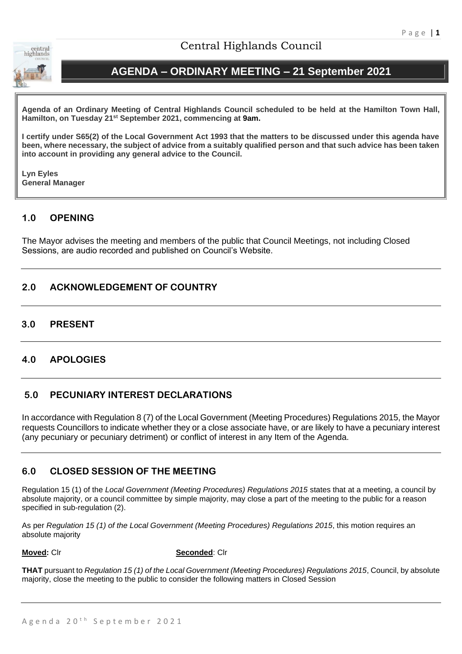

# Central Highlands Council

# **AGENDA – ORDINARY MEETING – 21 September 2021**

**Agenda of an Ordinary Meeting of Central Highlands Council scheduled to be held at the Hamilton Town Hall, Hamilton, on Tuesday 21st September 2021, commencing at 9am.**

**I certify under S65(2) of the Local Government Act 1993 that the matters to be discussed under this agenda have been, where necessary, the subject of advice from a suitably qualified person and that such advice has been taken into account in providing any general advice to the Council.** 

**Lyn Eyles General Manager**

# **1.0 OPENING**

The Mayor advises the meeting and members of the public that Council Meetings, not including Closed Sessions, are audio recorded and published on Council's Website.

# **2.0 ACKNOWLEDGEMENT OF COUNTRY**

## **3.0 PRESENT**

# **4.0 APOLOGIES**

## **5.0 PECUNIARY INTEREST DECLARATIONS**

In accordance with Regulation 8 (7) of the Local Government (Meeting Procedures) Regulations 2015, the Mayor requests Councillors to indicate whether they or a close associate have, or are likely to have a pecuniary interest (any pecuniary or pecuniary detriment) or conflict of interest in any Item of the Agenda.

# **6.0 CLOSED SESSION OF THE MEETING**

Regulation 15 (1) of the *Local Government (Meeting Procedures) Regulations 2015* states that at a meeting, a council by absolute majority, or a council committee by simple majority, may close a part of the meeting to the public for a reason specified in sub-regulation (2).

As per *Regulation 15 (1) of the Local Government (Meeting Procedures) Regulations 2015*, this motion requires an absolute majority

**Moved:** Clr **Seconded**: Clr

**THAT** pursuant to *Regulation 15 (1) of the Local Government (Meeting Procedures) Regulations 2015*, Council, by absolute majority, close the meeting to the public to consider the following matters in Closed Session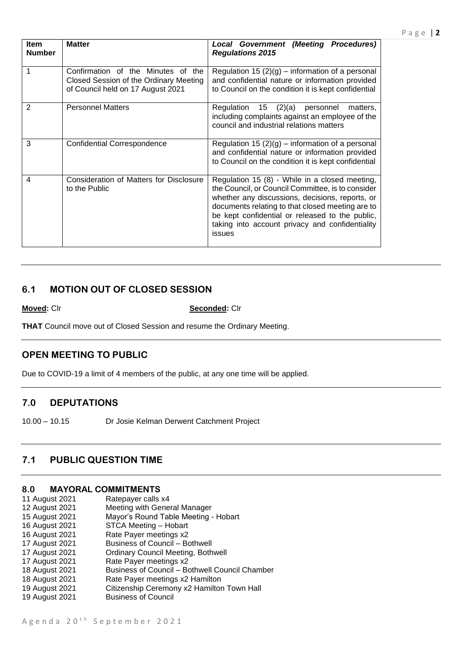| <b>Item</b><br><b>Number</b> | <b>Matter</b>                                                                                                     | <b>Local Government (Meeting Procedures)</b><br><b>Regulations 2015</b>                                                                                                                                                                                                                                                    |
|------------------------------|-------------------------------------------------------------------------------------------------------------------|----------------------------------------------------------------------------------------------------------------------------------------------------------------------------------------------------------------------------------------------------------------------------------------------------------------------------|
|                              | Confirmation of the Minutes of the<br>Closed Session of the Ordinary Meeting<br>of Council held on 17 August 2021 | Regulation 15 $(2)(g)$ – information of a personal<br>and confidential nature or information provided<br>to Council on the condition it is kept confidential                                                                                                                                                               |
| 2                            | <b>Personnel Matters</b>                                                                                          | (2)(a)<br>Regulation<br>15<br>personnel<br>matters.<br>including complaints against an employee of the<br>council and industrial relations matters                                                                                                                                                                         |
| 3                            | <b>Confidential Correspondence</b>                                                                                | Regulation 15 $(2)(g)$ – information of a personal<br>and confidential nature or information provided<br>to Council on the condition it is kept confidential                                                                                                                                                               |
| 4                            | Consideration of Matters for Disclosure<br>to the Public                                                          | Regulation 15 (8) - While in a closed meeting,<br>the Council, or Council Committee, is to consider<br>whether any discussions, decisions, reports, or<br>documents relating to that closed meeting are to<br>be kept confidential or released to the public,<br>taking into account privacy and confidentiality<br>issues |

## **6.1 MOTION OUT OF CLOSED SESSION**

**Moved:** Clr **Seconded:** Clr

**THAT** Council move out of Closed Session and resume the Ordinary Meeting.

## **OPEN MEETING TO PUBLIC**

Due to COVID-19 a limit of 4 members of the public, at any one time will be applied.

## **7.0 DEPUTATIONS**

10.00 – 10.15 Dr Josie Kelman Derwent Catchment Project

# **7.1 PUBLIC QUESTION TIME**

## **8.0 MAYORAL COMMITMENTS**

| 11 August 2021 | Ratepayer calls x4                             |
|----------------|------------------------------------------------|
| 12 August 2021 | Meeting with General Manager                   |
| 15 August 2021 | Mayor's Round Table Meeting - Hobart           |
| 16 August 2021 | STCA Meeting - Hobart                          |
| 16 August 2021 | Rate Payer meetings x2                         |
| 17 August 2021 | <b>Business of Council - Bothwell</b>          |
| 17 August 2021 | <b>Ordinary Council Meeting, Bothwell</b>      |
| 17 August 2021 | Rate Payer meetings x2                         |
| 18 August 2021 | Business of Council - Bothwell Council Chamber |
| 18 August 2021 | Rate Payer meetings x2 Hamilton                |
| 19 August 2021 | Citizenship Ceremony x2 Hamilton Town Hall     |
| 19 August 2021 | <b>Business of Council</b>                     |
|                |                                                |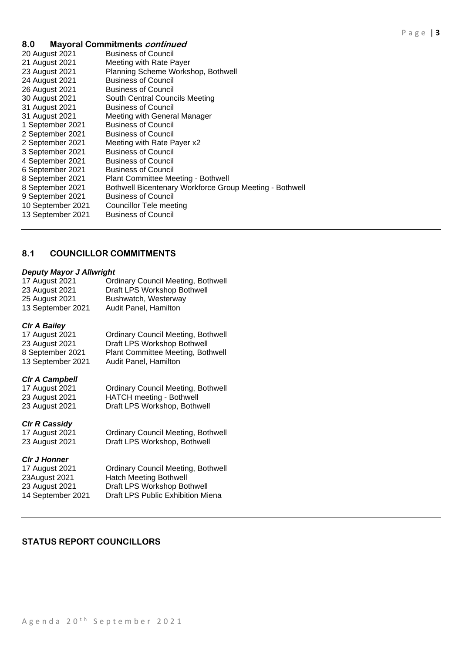| 8.0               | <b>Mayoral Commitments continued</b>                    |
|-------------------|---------------------------------------------------------|
| 20 August 2021    | <b>Business of Council</b>                              |
| 21 August 2021    | Meeting with Rate Payer                                 |
| 23 August 2021    | Planning Scheme Workshop, Bothwell                      |
| 24 August 2021    | <b>Business of Council</b>                              |
| 26 August 2021    | <b>Business of Council</b>                              |
| 30 August 2021    | South Central Councils Meeting                          |
| 31 August 2021    | <b>Business of Council</b>                              |
| 31 August 2021    | Meeting with General Manager                            |
| 1 September 2021  | <b>Business of Council</b>                              |
| 2 September 2021  | <b>Business of Council</b>                              |
| 2 September 2021  | Meeting with Rate Payer x2                              |
| 3 September 2021  | <b>Business of Council</b>                              |
| 4 September 2021  | <b>Business of Council</b>                              |
| 6 September 2021  | <b>Business of Council</b>                              |
| 8 September 2021  | Plant Committee Meeting - Bothwell                      |
| 8 September 2021  | Bothwell Bicentenary Workforce Group Meeting - Bothwell |
| 9 September 2021  | <b>Business of Council</b>                              |
| 10 September 2021 | Councillor Tele meeting                                 |
| 13 September 2021 | <b>Business of Council</b>                              |

## **8.1 COUNCILLOR COMMITMENTS**

### *Deputy Mayor J Allwright*

| 17 August 2021    | <b>Ordinary Council Meeting, Bothwell</b> |
|-------------------|-------------------------------------------|
| 23 August 2021    | Draft LPS Workshop Bothwell               |
| 25 August 2021    | Bushwatch, Westerway                      |
| 13 September 2021 | Audit Panel, Hamilton                     |

### *Clr A Bailey*

| 17 August 2021    | <b>Ordinary Council Meeting, Bothwell</b> |
|-------------------|-------------------------------------------|
| 23 August 2021    | Draft LPS Workshop Bothwell               |
| 8 September 2021  | Plant Committee Meeting, Bothwell         |
| 13 September 2021 | Audit Panel, Hamilton                     |

## *Clr A Campbell*

| 17 August 2021 | <b>Ordinary Council Meeting, Bothwell</b> |
|----------------|-------------------------------------------|
| 23 August 2021 | <b>HATCH meeting - Bothwell</b>           |
| 23 August 2021 | Draft LPS Workshop, Bothwell              |

*Clr R Cassidy*

17 August 2021 Ordinary Council Meeting, Bothwell Draft LPS Workshop, Bothwell

### *Clr J Honner*

17 August 2021 Ordinary Council Meeting, Bothwell 23August 2021 Hatch Meeting Bothwell 23 August 2021 Draft LPS Workshop Bothwell 14 September 2021 Draft LPS Public Exhibition Miena

# **STATUS REPORT COUNCILLORS**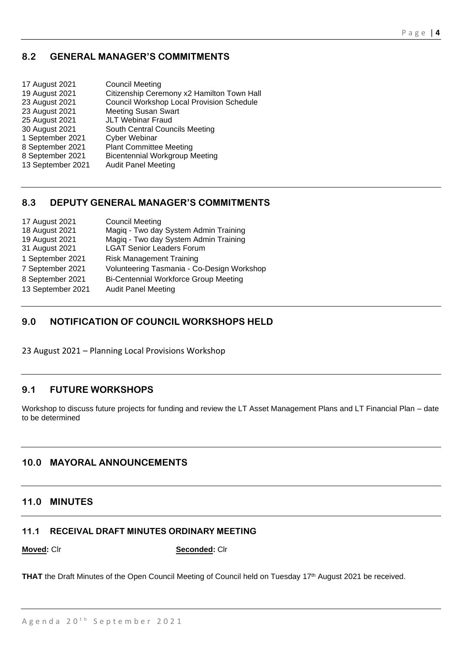# **8.2 GENERAL MANAGER'S COMMITMENTS**

| <b>Council Meeting</b>                     |
|--------------------------------------------|
| Citizenship Ceremony x2 Hamilton Town Hall |
| Council Workshop Local Provision Schedule  |
| <b>Meeting Susan Swart</b>                 |
| <b>JLT Webinar Fraud</b>                   |
| South Central Councils Meeting             |
| <b>Cyber Webinar</b>                       |
| <b>Plant Committee Meeting</b>             |
| <b>Bicentennial Workgroup Meeting</b>      |
| <b>Audit Panel Meeting</b>                 |
|                                            |

# **8.3 DEPUTY GENERAL MANAGER'S COMMITMENTS**

| 17 August 2021    | <b>Council Meeting</b>                       |
|-------------------|----------------------------------------------|
| 18 August 2021    | Magiq - Two day System Admin Training        |
| 19 August 2021    | Magiq - Two day System Admin Training        |
| 31 August 2021    | <b>LGAT Senior Leaders Forum</b>             |
| 1 September 2021  | <b>Risk Management Training</b>              |
| 7 September 2021  | Volunteering Tasmania - Co-Design Workshop   |
| 8 September 2021  | <b>Bi-Centennial Workforce Group Meeting</b> |
| 13 September 2021 | <b>Audit Panel Meeting</b>                   |

# **9.0 NOTIFICATION OF COUNCIL WORKSHOPS HELD**

23 August 2021 – Planning Local Provisions Workshop

# **9.1 FUTURE WORKSHOPS**

Workshop to discuss future projects for funding and review the LT Asset Management Plans and LT Financial Plan – date to be determined

# **10.0 MAYORAL ANNOUNCEMENTS**

## **11.0 MINUTES**

# **11.1 RECEIVAL DRAFT MINUTES ORDINARY MEETING**

**Moved:** Clr **Seconded:** Clr

THAT the Draft Minutes of the Open Council Meeting of Council held on Tuesday 17<sup>th</sup> August 2021 be received.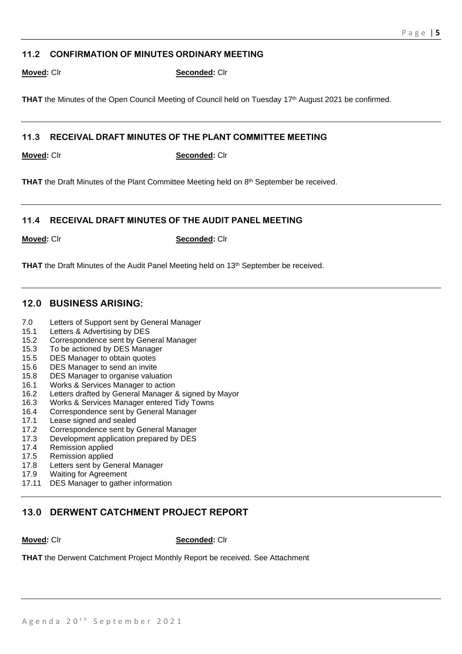## **11.2 CONFIRMATION OF MINUTES ORDINARY MEETING**

**Moved:** Clr **Seconded:** Clr

**THAT** the Minutes of the Open Council Meeting of Council held on Tuesday 17<sup>th</sup> August 2021 be confirmed.

## **11.3 RECEIVAL DRAFT MINUTES OF THE PLANT COMMITTEE MEETING**

**Moved:** Clr **Seconded:** Clr

THAT the Draft Minutes of the Plant Committee Meeting held on 8<sup>th</sup> September be received.

## **11.4 RECEIVAL DRAFT MINUTES OF THE AUDIT PANEL MEETING**

**Moved:** Clr **Seconded:** Clr

**THAT** the Draft Minutes of the Audit Panel Meeting held on 13<sup>th</sup> September be received.

## **12.0 BUSINESS ARISING:**

- 7.0 Letters of Support sent by General Manager
- 15.1 Letters & Advertising by DES
- 15.2 Correspondence sent by General Manager
- 15.3 To be actioned by DES Manager
- 15.5 DES Manager to obtain quotes
- 15.6 DES Manager to send an invite
- 15.8 DES Manager to organise valuation
- 16.1 Works & Services Manager to action
- 16.2 Letters drafted by General Manager & signed by Mayor
- 16.3 Works & Services Manager entered Tidy Towns
- 16.4 Correspondence sent by General Manager
- 17.1 Lease signed and sealed
- 17.2 Correspondence sent by General Manager
- 17.3 Development application prepared by DES
- 17.4 Remission applied
- 17.5 Remission applied
- 17.8 Letters sent by General Manager
- 17.9 Waiting for Agreement
- 17.11 DES Manager to gather information

# **13.0 DERWENT CATCHMENT PROJECT REPORT**

**Moved:** Clr **Seconded:** Clr

**THAT** the Derwent Catchment Project Monthly Report be received. See Attachment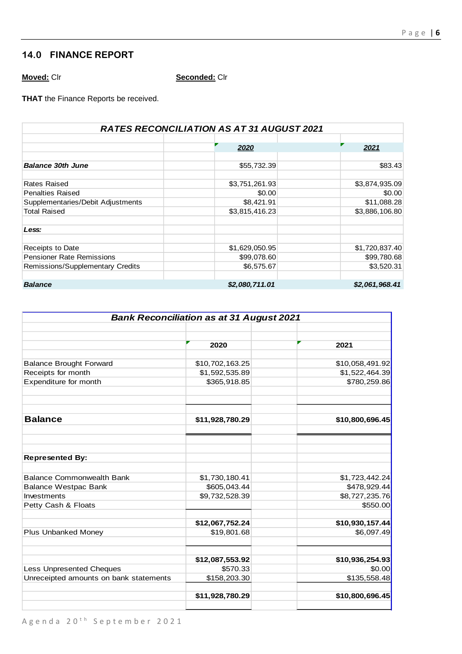# **14.0 FINANCE REPORT**

**Moved:** Clr **Seconded:** Clr

**THAT** the Finance Reports be received.

| <b>RATES RECONCILIATION AS AT 31 AUGUST 2021</b> |                |                |  |  |  |  |  |
|--------------------------------------------------|----------------|----------------|--|--|--|--|--|
|                                                  |                |                |  |  |  |  |  |
|                                                  | 2020           | 2021           |  |  |  |  |  |
|                                                  |                |                |  |  |  |  |  |
| <b>Balance 30th June</b>                         | \$55,732.39    | \$83.43        |  |  |  |  |  |
|                                                  |                |                |  |  |  |  |  |
| Rates Raised                                     | \$3,751,261.93 | \$3,874,935.09 |  |  |  |  |  |
| <b>Penalties Raised</b>                          | \$0.00         | \$0.00         |  |  |  |  |  |
| Supplementaries/Debit Adjustments                | \$8,421.91     | \$11,088.28    |  |  |  |  |  |
| <b>Total Raised</b>                              | \$3,815,416.23 | \$3,886,106.80 |  |  |  |  |  |
| Less:                                            |                |                |  |  |  |  |  |
| Receipts to Date                                 | \$1,629,050.95 | \$1,720,837.40 |  |  |  |  |  |
| <b>Pensioner Rate Remissions</b>                 | \$99,078.60    | \$99,780.68    |  |  |  |  |  |
| Remissions/Supplementary Credits                 | \$6,575.67     | \$3,520.31     |  |  |  |  |  |
|                                                  |                |                |  |  |  |  |  |
| <b>Balance</b>                                   | \$2,080,711.01 | \$2,061,968.41 |  |  |  |  |  |

| <b>Bank Reconciliation as at 31 August 2021</b> |                 |                 |  |
|-------------------------------------------------|-----------------|-----------------|--|
|                                                 |                 |                 |  |
|                                                 | 2020            | 2021            |  |
| <b>Balance Brought Forward</b>                  | \$10,702,163.25 | \$10,058,491.92 |  |
| Receipts for month                              | \$1,592,535.89  | \$1,522,464.39  |  |
| Expenditure for month                           | \$365,918.85    | \$780,259.86    |  |
|                                                 |                 |                 |  |
| <b>Balance</b>                                  | \$11,928,780.29 | \$10,800,696.45 |  |
| <b>Represented By:</b>                          |                 |                 |  |
|                                                 |                 |                 |  |
| <b>Balance Commonwealth Bank</b>                | \$1,730,180.41  | \$1,723,442.24  |  |
| <b>Balance Westpac Bank</b>                     | \$605,043.44    | \$478,929.44    |  |
| Investments                                     | \$9,732,528.39  | \$8,727,235.76  |  |
| Petty Cash & Floats                             |                 | \$550.00        |  |
|                                                 | \$12,067,752.24 | \$10,930,157.44 |  |
| Plus Unbanked Money                             | \$19,801.68     | \$6,097.49      |  |
|                                                 | \$12,087,553.92 | \$10,936,254.93 |  |
| <b>Less Unpresented Cheques</b>                 | \$570.33        | \$0.00          |  |
| Unreceipted amounts on bank statements          | \$158,203.30    | \$135,558.48    |  |
|                                                 | \$11,928,780.29 | \$10,800,696.45 |  |
|                                                 |                 |                 |  |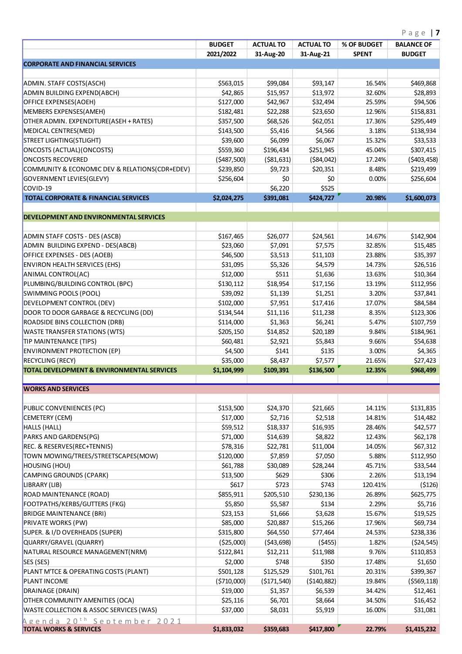|                                                                             | <b>BUDGET</b> | <b>ACTUAL TO</b> | <b>ACTUAL TO</b> | % OF BUDGET  | $P$ d $g$ e $\blacksquare$<br><b>BALANCE OF</b> |
|-----------------------------------------------------------------------------|---------------|------------------|------------------|--------------|-------------------------------------------------|
|                                                                             | 2021/2022     | 31-Aug-20        | 31-Aug-21        | <b>SPENT</b> | <b>BUDGET</b>                                   |
| <b>CORPORATE AND FINANCIAL SERVICES</b>                                     |               |                  |                  |              |                                                 |
|                                                                             |               |                  |                  |              |                                                 |
| ADMIN. STAFF COSTS(ASCH)                                                    | \$563,015     | \$99,084         | \$93,147         | 16.54%       | \$469,868                                       |
| ADMIN BUILDING EXPEND(ABCH)                                                 | \$42,865      | \$15,957         | \$13,972         | 32.60%       | \$28,893                                        |
| OFFICE EXPENSES(AOEH)                                                       | \$127,000     | \$42,967         | \$32,494         | 25.59%       | \$94,506                                        |
| MEMBERS EXPENSES(AMEH)                                                      | \$182,481     | \$22,288         | \$23,650         | 12.96%       | \$158,831                                       |
| OTHER ADMIN. EXPENDITURE(ASEH + RATES)                                      | \$357,500     | \$68,526         | \$62,051         | 17.36%       | \$295,449                                       |
| MEDICAL CENTRES(MED)                                                        | \$143,500     | \$5,416          | \$4,566          | 3.18%        | \$138,934                                       |
| STREET LIGHTING(STLIGHT)                                                    | \$39,600      | \$6,099          | \$6,067          | 15.32%       | \$33,533                                        |
| ONCOSTS (ACTUAL) (ONCOSTS)                                                  | \$559,360     | \$196,434        | \$251,945        | 45.04%       | \$307,415                                       |
| <b>ONCOSTS RECOVERED</b>                                                    | (5487,500)    | ( \$81, 631)     | ( \$84,042)      | 17.24%       | (5403, 458)                                     |
| COMMUNITY & ECONOMIC DEV & RELATIONS(CDR+EDEV)                              | \$239,850     | \$9,723          | \$20,351         | 8.48%        | \$219,499                                       |
| GOVERNMENT LEVIES(GLEVY)                                                    | \$256,604     | \$0              | \$0              | 0.00%        | \$256,604                                       |
| COVID-19                                                                    |               | \$6,220          | \$525            |              |                                                 |
| <b>TOTAL CORPORATE &amp; FINANCIAL SERVICES</b>                             | \$2,024,275   | \$391,081        | \$424,727        | 20.98%       | \$1,600,073                                     |
| <b>DEVELOPMENT AND ENVIRONMENTAL SERVICES</b>                               |               |                  |                  |              |                                                 |
|                                                                             |               |                  |                  |              |                                                 |
| ADMIN STAFF COSTS - DES (ASCB)                                              | \$167,465     | \$26,077         | \$24,561         | 14.67%       | \$142,904                                       |
| ADMIN BUILDING EXPEND - DES(ABCB)                                           | \$23,060      | \$7,091          | \$7,575          | 32.85%       | \$15,485                                        |
| OFFICE EXPENSES - DES (AOEB)                                                | \$46,500      | \$3,513          | \$11,103         | 23.88%       | \$35,397                                        |
| <b>ENVIRON HEALTH SERVICES (EHS)</b>                                        | \$31,095      | \$5,326          | \$4,579          | 14.73%       | \$26,516                                        |
| ANIMAL CONTROL(AC)                                                          | \$12,000      | \$511            | \$1,636          | 13.63%       | \$10,364                                        |
| PLUMBING/BUILDING CONTROL (BPC)                                             | \$130,112     | \$18,954         | \$17,156         | 13.19%       | \$112,956                                       |
| SWIMMING POOLS (POOL)                                                       | \$39,092      | \$1,139          | \$1,251          | 3.20%        | \$37,841                                        |
| DEVELOPMENT CONTROL (DEV)                                                   | \$102,000     | \$7,951          | \$17,416         | 17.07%       | \$84,584                                        |
| DOOR TO DOOR GARBAGE & RECYCLING (DD)                                       | \$134,544     | \$11,116         | \$11,238         | 8.35%        | \$123,306                                       |
| ROADSIDE BINS COLLECTION (DRB)                                              | \$114,000     | \$1,363          | \$6,241          | 5.47%        | \$107,759                                       |
| <b>WASTE TRANSFER STATIONS (WTS)</b>                                        | \$205,150     | \$14,852         | \$20,189         | 9.84%        | \$184,961                                       |
| TIP MAINTENANCE (TIPS)                                                      | \$60,481      | \$2,921          | \$5,843          | 9.66%        | \$54,638                                        |
| <b>ENVIRONMENT PROTECTION (EP)</b>                                          | \$4,500       | \$141            | \$135            | 3.00%        | \$4,365                                         |
| <b>RECYCLING (RECY)</b>                                                     | \$35,000      | \$8,437          | \$7,577          | 21.65%       | \$27,423                                        |
| <b>TOTAL DEVELOPMENT &amp; ENVIRONMENTAL SERVICES</b>                       | \$1,104,999   | \$109,391        | \$136,500        | 12.35%       | \$968,499                                       |
| <b>WORKS AND SERVICES</b>                                                   |               |                  |                  |              |                                                 |
|                                                                             |               |                  |                  |              |                                                 |
| PUBLIC CONVENIENCES (PC)                                                    | \$153,500     | \$24,370         | \$21,665         | 14.11%       | \$131,835                                       |
| CEMETERY (CEM)                                                              | \$17,000      | \$2,716          | \$2,518          | 14.81%       | \$14,482                                        |
| HALLS (HALL)                                                                | \$59,512      | \$18,337         | \$16,935         | 28.46%       | \$42,577                                        |
| PARKS AND GARDENS(PG)                                                       | \$71,000      | \$14,639         | \$8,822          | 12.43%       | \$62,178                                        |
| REC. & RESERVES(REC+TENNIS)                                                 | \$78,316      | \$22,781         | \$11,004         | 14.05%       | \$67,312                                        |
| TOWN MOWING/TREES/STREETSCAPES(MOW)                                         | \$120,000     | \$7,859          | \$7,050          | 5.88%        | \$112,950                                       |
| HOUSING (HOU)                                                               | \$61,788      | \$30,089         | \$28,244         | 45.71%       | \$33,544                                        |
| CAMPING GROUNDS (CPARK)                                                     | \$13,500      | \$629            | \$306            | 2.26%        | \$13,194                                        |
| LIBRARY (LIB)                                                               | \$617         | \$723            | \$743            | 120.41%      | (5126)                                          |
| ROAD MAINTENANCE (ROAD)                                                     | \$855,911     | \$205,510        | \$230,136        | 26.89%       | \$625,775                                       |
| <b>FOOTPATHS/KERBS/GUTTERS (FKG)</b>                                        | \$5,850       | \$5,587          | \$134            | 2.29%        | \$5,716                                         |
| <b>BRIDGE MAINTENANCE (BRI)</b>                                             | \$23,153      | \$1,666          | \$3,628          | 15.67%       | \$19,525                                        |
| <b>PRIVATE WORKS (PW)</b>                                                   | \$85,000      | \$20,887         | \$15,266         | 17.96%       | \$69,734                                        |
| SUPER. & I/D OVERHEADS (SUPER)                                              | \$315,800     | \$64,550         | \$77,464         | 24.53%       | \$238,336                                       |
| QUARRY/GRAVEL (QUARRY)                                                      | (525,000)     | (543,698)        | (5455)           | 1.82%        | (524, 545)                                      |
| NATURAL RESOURCE MANAGEMENT(NRM)                                            |               | \$12,211         | \$11,988         | 9.76%        | \$110,853                                       |
|                                                                             | \$122,841     |                  |                  |              |                                                 |
| SES (SES)                                                                   | \$2,000       | \$748            | \$350            | 17.48%       | \$1,650                                         |
| PLANT M'TCE & OPERATING COSTS (PLANT)                                       | \$501,128     | \$125,529        | \$101,761        | 20.31%       | \$399,367                                       |
| <b>PLANT INCOME</b>                                                         | ( \$710,000)  | ( \$171, 540)    | (5140, 882)      | 19.84%       | ( \$569, 118)                                   |
| DRAINAGE (DRAIN)                                                            | \$19,000      | \$1,357          | \$6,539          | 34.42%       | \$12,461                                        |
| OTHER COMMUNITY AMENITIES (OCA)                                             | \$25,116      | \$6,701          | \$8,664          | 34.50%       | \$16,452                                        |
| <b>WASTE COLLECTION &amp; ASSOC SERVICES (WAS)</b>                          | \$37,000      | \$8,031          | \$5,919          | 16.00%       | \$31,081                                        |
| Agenda 20 <sup>th</sup> September 2021<br><b>TOTAL WORKS &amp; SERVICES</b> | \$1,833,032   | \$359,683        | \$417,800        | 22.79%       | \$1,415,232                                     |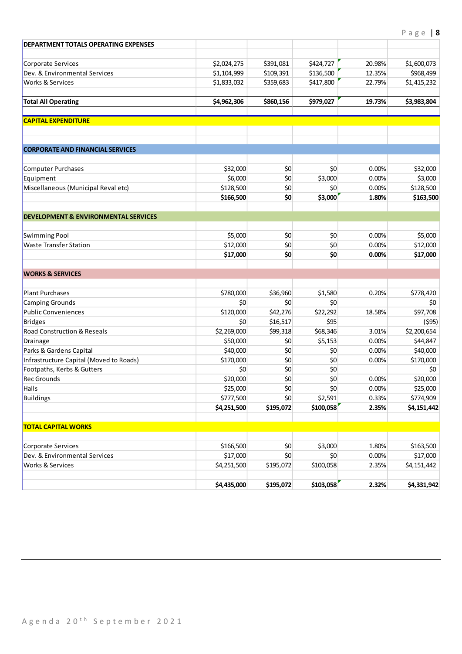| <b>DEPARTMENT TOTALS OPERATING EXPENSES</b>                        |                  |            |            |        |                  |
|--------------------------------------------------------------------|------------------|------------|------------|--------|------------------|
| Corporate Services                                                 | \$2,024,275      | \$391,081  | \$424,727  | 20.98% | \$1,600,073      |
| Dev. & Environmental Services                                      | \$1,104,999      | \$109,391  | \$136,500  | 12.35% | \$968,499        |
| <b>Works &amp; Services</b>                                        | \$1,833,032      | \$359,683  | \$417,800  | 22.79% | \$1,415,232      |
| <b>Total All Operating</b>                                         | \$4,962,306      | \$860,156  | \$979,027  | 19.73% | \$3,983,804      |
| <b>CAPITAL EXPENDITURE</b>                                         |                  |            |            |        |                  |
| <b>CORPORATE AND FINANCIAL SERVICES</b>                            |                  |            |            |        |                  |
| Computer Purchases                                                 | \$32,000         | \$0        | \$0        | 0.00%  | \$32,000         |
| Equipment                                                          | \$6,000          | \$0        | \$3,000    | 0.00%  | \$3,000          |
| Miscellaneous (Municipal Reval etc)                                | \$128,500        | 50         | \$0        | 0.00%  | \$128,500        |
|                                                                    | \$166,500        | \$0        | \$3,000    | 1.80%  | \$163,500        |
| <b>DEVELOPMENT &amp; ENVIRONMENTAL SERVICES</b>                    |                  |            |            |        |                  |
| Swimming Pool                                                      | \$5,000          | \$0        | \$0        | 0.00%  | \$5,000          |
| <b>Waste Transfer Station</b>                                      | \$12,000         | \$0        | \$0        | 0.00%  | \$12,000         |
|                                                                    | \$17,000         | \$0        | \$0        | 0.00%  | \$17,000         |
| <b>WORKS &amp; SERVICES</b>                                        |                  |            |            |        |                  |
| <b>Plant Purchases</b>                                             | \$780,000        | \$36,960   | \$1,580    | 0.20%  | \$778,420        |
| Camping Grounds                                                    | \$0              | 50         | \$0        |        | \$0              |
| Public Conveniences                                                | \$120,000        | \$42,276   | \$22,292   | 18.58% | \$97,708         |
| Bridges                                                            | \$0              | \$16,517   | \$95       |        | (595)            |
| <b>Road Construction &amp; Reseals</b>                             | \$2,269,000      | \$99,318   | \$68,346   | 3.01%  | \$2,200,654      |
| Drainage                                                           | \$50,000         | \$0        | \$5,153    | 0.00%  | \$44,847         |
| Parks & Gardens Capital<br>Infrastructure Capital (Moved to Roads) | \$40,000         | \$0<br>\$0 | \$0<br>\$0 | 0.00%  | \$40,000         |
| Footpaths, Kerbs & Gutters                                         | \$170,000<br>\$0 | \$0        | \$0        | 0.00%  | \$170,000<br>\$0 |
| <b>Rec Grounds</b>                                                 | \$20,000         | \$0        | \$0        | 0.00%  | \$20,000         |
| Halls                                                              | \$25,000         | \$0        | \$0        | 0.00%  | \$25,000         |
| Buildings                                                          | \$777,500        | \$0        | \$2,591    | 0.33%  | \$774,909        |
|                                                                    | \$4,251,500      | \$195,072  | \$100,058  | 2.35%  | \$4,151,442      |
| <b>TOTAL CAPITAL WORKS</b>                                         |                  |            |            |        |                  |
| Corporate Services                                                 | \$166,500        | \$0        | \$3,000    | 1.80%  | \$163,500        |
| Dev. & Environmental Services                                      | \$17,000         | \$0        | \$0        | 0.00%  | \$17,000         |
| <b>Works &amp; Services</b>                                        | \$4,251,500      | \$195,072  | \$100,058  | 2.35%  | \$4,151,442      |
|                                                                    | \$4,435,000      | \$195,072  | \$103,058  | 2.32%  | \$4,331,942      |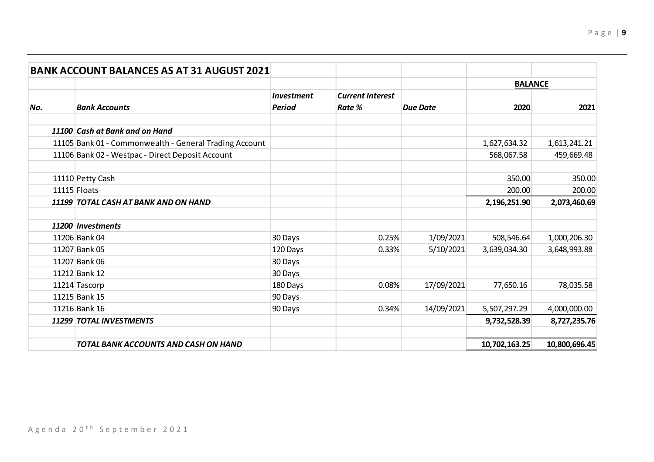|     | <b>BANK ACCOUNT BALANCES AS AT 31 AUGUST 2021</b>      |                   |                         |                 |                |               |
|-----|--------------------------------------------------------|-------------------|-------------------------|-----------------|----------------|---------------|
|     |                                                        |                   |                         |                 | <b>BALANCE</b> |               |
|     |                                                        | <b>Investment</b> | <b>Current Interest</b> |                 |                |               |
| No. | <b>Bank Accounts</b>                                   | <b>Period</b>     | Rate %                  | <b>Due Date</b> | 2020           | 2021          |
|     | 11100 Cash at Bank and on Hand                         |                   |                         |                 |                |               |
|     | 11105 Bank 01 - Commonwealth - General Trading Account |                   |                         |                 | 1,627,634.32   | 1,613,241.21  |
|     | 11106 Bank 02 - Westpac - Direct Deposit Account       |                   |                         |                 | 568,067.58     | 459,669.48    |
|     | 11110 Petty Cash                                       |                   |                         |                 | 350.00         | 350.00        |
|     | 11115 Floats                                           |                   |                         |                 | 200.00         | 200.00        |
|     | 11199 TOTAL CASH AT BANK AND ON HAND                   |                   |                         |                 | 2,196,251.90   | 2,073,460.69  |
|     |                                                        |                   |                         |                 |                |               |
|     | 11200 Investments                                      |                   |                         |                 |                |               |
|     | 11206 Bank 04                                          | 30 Days           | 0.25%                   | 1/09/2021       | 508,546.64     | 1,000,206.30  |
|     | 11207 Bank 05                                          | 120 Days          | 0.33%                   | 5/10/2021       | 3,639,034.30   | 3,648,993.88  |
|     | 11207 Bank 06                                          | 30 Days           |                         |                 |                |               |
|     | 11212 Bank 12                                          | 30 Days           |                         |                 |                |               |
|     | 11214 Tascorp                                          | 180 Days          | 0.08%                   | 17/09/2021      | 77,650.16      | 78,035.58     |
|     | 11215 Bank 15                                          | 90 Days           |                         |                 |                |               |
|     | 11216 Bank 16                                          | 90 Days           | 0.34%                   | 14/09/2021      | 5,507,297.29   | 4,000,000.00  |
|     | 11299 TOTAL INVESTMENTS                                |                   |                         |                 | 9,732,528.39   | 8,727,235.76  |
|     | TOTAL BANK ACCOUNTS AND CASH ON HAND                   |                   |                         |                 | 10,702,163.25  | 10,800,696.45 |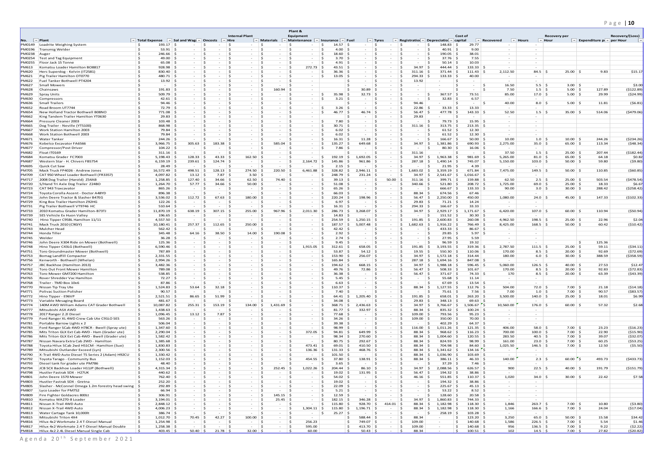# P a g e | **10**

|                                |                                                                                        |                                                           |                              |                                          | <b>Internal Plant</b>                   |                                     | Plant &<br>Equipment                   |                                            |                                           |                                        |                                          |                                                             |                                         |                                    |                                    |                                          |                                       |                                  |
|--------------------------------|----------------------------------------------------------------------------------------|-----------------------------------------------------------|------------------------------|------------------------------------------|-----------------------------------------|-------------------------------------|----------------------------------------|--------------------------------------------|-------------------------------------------|----------------------------------------|------------------------------------------|-------------------------------------------------------------|-----------------------------------------|------------------------------------|------------------------------------|------------------------------------------|---------------------------------------|----------------------------------|
| No. $\blacktriangledown$ Plant |                                                                                        | Total Expense $\ \cdot\ $ Sal and Wag $\ \cdot\ $ Oncosts |                              |                                          | $\ $ $\neq$ Hire                        | $\vert \mathbf{v} \vert$ Materials  | $\blacktriangleright$ Maintenance      | $\  \cdot \ $ Insurance $\  \cdot \ $ Fuel |                                           | $\vert \text{ }$ Tyres                 |                                          | Registration $\mathbf{r}$ Depreciation $\mathbf{r}$ capital | Cost of                                 | $\vert \vert \vert$ Recovered      | $\blacktriangleright$ Hours        | Recovery per<br>$\vert \cdot \vert$ Hour | Expenditure $p \cdot \neg p$ per Hour | Recovery/(Loss)<br>$\rightarrow$ |
|                                | PM0149   Loadrite Weighing System                                                      | 193.17<br>- Ś                                             |                              | - Ś                                      | -S<br>$\sim$                            | - Ś                                 |                                        | 14.57                                      | $\sim$                                    | - Ś                                    | - \$                                     | -S<br>148.83                                                | 29.77                                   | $\sim$                             |                                    |                                          |                                       |                                  |
|                                | PM0196 Transmig Welder                                                                 | -\$<br>$53.91$ \$<br>-Ŝ<br>$246.66$ \$                    | $\overline{a}$<br>$\sim$     | $\leq$<br>- Ś                            | - Ś<br>$\sim$<br>-Ś                     | S,<br>$\sim$<br>-Ś                  | ς<br>-S                                | 4.00<br>18.60<br>- \$                      | $\sim$<br>$\sim$                          | ∣ \$<br>l S                            | - 5<br>$\sim$<br>- Ś                     | 40.91<br>- Ś<br>- Ś<br>190.05                               | 9.00<br>38.01                           | $\sim$<br>$\overline{\phantom{a}}$ | $\sim$                             |                                          |                                       |                                  |
| PM0238 Auger<br>PM0254         | Test and Tag Equipment                                                                 | -Ś<br>$49.00$ \$                                          | $\sim$                       | - Ś<br>$\overline{\phantom{0}}$          | - \$<br>$\sim$                          | - Ś<br>$\sim$                       | -S<br>$\sim$                           | 3.70<br>- S                                | $\sim$                                    | l\$<br>$\sim$                          | - S<br>$\sim$ $-$                        | 37.76<br>S.                                                 | 7.55                                    | $\sim$                             | $\sim$                             |                                          |                                       |                                  |
| <b>PM0255</b>                  | Floor Jack 15 Tonne                                                                    | -Ŝ<br>$65.08$ \$                                          | $\overline{a}$               | - Ś<br>$\sim$                            | -Ś<br>$\sim$                            | - Ś<br>$\sim$                       | - Ś<br>$\sim$                          | 4.91<br>- \$                               | $\sim$                                    | I \$<br>$\sim$                         | ∣\$<br>$\sim$                            | 50.14<br>- Ś                                                | 10.03                                   | $\sim$                             | $\sim$                             |                                          |                                       |                                  |
| PM613<br><b>PM620</b>          | Komatsu Loader Hamilton BO8817<br>Herc Superdog - Kelvin (IT2581)                      | - Ś<br>$928.98$ \$<br>-Ŝ<br>$830.40$ \$                   | $\sim$<br>$\sim$             | $\sim$<br>$\sim$                         | Ŝ<br>$\sim$<br>$\leq$<br>$\sim$         | -Ś<br>$\sim$<br>-Ś<br>$\sim$        | -Ś<br>272.73<br>.S                     | 43.51<br>∣ S∶<br>36.36<br>- Ś              | $\sim$<br>$\sim$                          | $\vert$ \$<br>$\sim$<br>l \$<br>$\sim$ | 34.97<br>- Ś<br>311.16<br>- 5            | 444.44<br>∣ S<br>371.44                                     | 133.33 \$<br>111.43                     | $\sim$<br>2,112.50                 | $\sim$<br>$84.5$ \$                | $25.00$ \$                               | 9.83                                  | \$15.17                          |
| <b>PM621</b>                   | Pig Trailer Hamilton OT0770                                                            | -Ś<br>$480.71$ \$                                         | $\sim$                       | $\leq$<br>$\sim$                         | - \$<br>$\sim$                          | -S<br>$\sim$                        | -Ś.<br>$\sim$                          | 13.05<br>- Ś                               | $\sim$                                    | ∣ Ś<br>$\sim$                          | $294.33$ \$<br>- Ś                       | 133.33                                                      | 40.00<br>∣ Ś                            | $\sim$                             | $\sim$                             |                                          |                                       |                                  |
| <b>PM622</b>                   | Fuel Tanker Bothwell PT4204                                                            | -Ŝ<br>$13.92 \mid 5$                                      | $\sim$                       |                                          | Ŝ<br>$\sim$                             | -S<br>$\sim$                        | .S<br>$\sim$                           |                                            | $\sim$                                    | l s<br>$\sim$                          | 13.92<br>- Ś                             | $\sim$                                                      | .\$<br>$\sim$                           | $\sim$ $-$                         | $\sim$                             |                                          |                                       |                                  |
| <b>PM627</b><br><b>PM628</b>   | Small Mowers<br>Chainsaws                                                              | - Ś<br>$\sim$<br>\$<br>$191.83$ \$                        | IS.<br>$\sim$<br>$\sim$      | $\sim$<br>∣ <<br>$\sim$                  | -S<br>$\sim$<br>- Ś<br><b>Service</b>   | -S<br>$\sim$<br>-S<br>160.94        | -S<br>∣ Ś<br>$\sim$                    |                                            | $\sim$<br>∣ Ś<br>$30.89$ \$               | l S<br>$\sim$                          | - Ś<br>∣<<br>$\sim$                      | $\sim$                                                      | $\sim$<br>- Ś<br>$\sim$                 | 16.50<br>l S<br>l \$<br>7.50       | $5.5$ \$<br>$1.5$ \$               | $3.00$ \$<br>$5.00$ \$                   | $\sim$<br>127.89                      | \$3.00<br>(\$122.89)             |
| <b>PM629</b>                   | <b>Spray Units</b>                                                                     | -Ŝ<br>$509.79$ \$                                         |                              |                                          | -Ś<br>$\sim$                            | -Ś                                  | .S<br>$\sim$                           | 35.98<br>-S.                               | $32.73$ \$<br>∣ S                         | $\sim$                                 | - Ś<br>$\sim$                            | 367.57<br>-S                                                | 73.51<br>∣ Ś                            | 85.00                              | $17.0$ \$                          | $5.00$ \$                                | 29.99                                 | (524.99)                         |
| <b>PM630</b>                   | Compressors                                                                            | -Ŝ<br>$42.61 \mid \xi$                                    | $\sim$                       | $\leq$<br>$\overline{a}$                 | -S<br>$\sim$ $-$                        | S,<br>$\sim$                        | .S<br>$\sim$                           | 3.21<br>- 5                                | $\sim$                                    | l \$<br>$\sim$                         | <<br>$\sim$                              | 32.83<br>-Ś                                                 | 6.57<br>∣ Ś                             | $\sim$ $-$                         | $\sim$                             |                                          |                                       |                                  |
| <b>PM636</b>                   | Small Trailers                                                                         | -Ŝ<br>$94.46 \,$ \$<br>-Ś                                 | $\sim$<br>$\sim$             | ∣ \$<br>$\sim$<br>$\leq$<br>$\sim$       | - Ś<br>$\sim$<br>- Ś                    | -S<br>-Ś                            | - Ś<br>.S<br>$\sim$                    | - S                                        | - Ś<br>$\sim$                             | l\$<br>$\sim$<br>∣ S                   | 94.46<br>۱Ś.<br>- 5                      |                                                             | -S<br>$\sim$                            | 40.00<br>IS.<br>$\sim$             | $8.0$ \$<br>$\sim$                 | $5.00$ \$                                | 11.81                                 | (56.81)                          |
| <b>PM652</b><br><b>PM654</b>   | Road Broom UT7744<br>New Holland Tractor Bothwell B08NO                                | $72.79$ \$<br>-Ŝ<br>$771.08$ \$                           | $\overline{a}$               | - Ś<br>$\sim$                            | $\sim$<br>- Ś<br>$\sim$                 | $\sim$<br>- Ś<br>$\sim$             | .s<br>$\sim$                           | 3.26<br>46.77<br>\$                        | $\sim$<br>46.74                           | $\sim$<br>l\$<br>$\sim$                | 22.86<br>56.47<br>- \$                   | 33.33<br>$477.78$ \$<br>S                                   | 13.33<br>143.33 \$                      | 52.50                              | $1.5$ \$                           | $35.00$ \$                               | 514.06                                | (5479.06)                        |
| <b>PM662</b>                   | King Tandem Trailer Hamilton YT0630                                                    | -Ś<br>$29.83 \quad$ \$                                    | $\sim$                       | $\sim$                                   | -Ś<br>$\sim$                            | -Ś<br>$\sim$                        | .S<br>$\sim$                           |                                            | -5<br>$\sim$                              | ۱Ś.<br>$\sim$                          | 29.83<br>- Ś                             | $\sim$                                                      | .\$<br>$\sim$                           | $\sim$                             | $\sim$                             |                                          |                                       |                                  |
| <b>PM664</b>                   | Pressure Cleaner 2003                                                                  | -Ś<br>103.48<br>-Ś                                        | $\sim$<br>$\sim$             | $\sim$<br>- Ś<br>$\sim$                  | $\leq$<br>$\sim$<br>- \$<br>$\sim$ $-$  | -Ś<br>$\sim$<br>-S<br>$\sim$        | .S<br>$\sim$<br>$\sim$                 | 7.80<br>- Ś                                | $\sim$                                    | l \$<br>$\sim$<br>$\sim$               | - Ś<br>$\sim$<br>- \$                    | 79.73<br>- Ś                                                | $15.95$ \$                              | $\sim$                             | $\sim$                             |                                          |                                       |                                  |
| <b>PM665</b><br><b>PM667</b>   | Dog Trailer - Neville (YT5100)<br>Work Station Hamilton 2003                           | 868.98 \$<br>-Ŝ<br>79.84 \$                               | $\sim$                       | - Ś<br>$\overline{a}$                    | -S<br>$\sim$                            | - Ś<br>$\sim$                       | -S<br>- Ś<br>$\sim$                    | 30.71<br>6.02<br>- Ś                       | $\sim$<br>$\sim$                          | $\vert$ \$<br>$\vert$ \$<br>$\sim$     | $311.16$ \$<br>۱s<br>$\sim$              | $313.75$ \$<br>$61.52$ \$<br>- Ś                            | $213.35$ \$<br>12.30                    | $\sim$<br>$\sim$                   | $\sim$<br>$\sim$                   |                                          |                                       |                                  |
| <b>PM668</b>                   | Work Station Bothwell 2003                                                             | - Ś<br>79.84                                              | $\sim$                       | $\sim$                                   | $\sim$                                  | $\sim$                              |                                        | 6.02                                       | $\sim$                                    | $\overline{a}$                         | $\sim$                                   | 61.52                                                       | $12.30 \mid$ \$                         | $\sim$                             | $\sim$                             |                                          |                                       |                                  |
| <b>PM671</b>                   | <b>Water Tanker</b>                                                                    | -Ŝ<br>$244.26$ \$                                         | $\sim$                       | ∣ \$<br>$\sim$                           | ∣ Ś<br><b>Service</b>                   | - Ś<br>$\sim$                       | I \$<br>$\sim$                         | 16.31<br>∣ Ś                               | $11.28$ \$                                | $\sim$                                 | ∣\$<br>$\sim$ $-$                        | 166.67<br>-S                                                | $50.00$ \$<br>∣S.                       | 10.00                              | $1.0 \, \vert \, 5$                | $10.00$ \$                               | 244.26                                | (5234.26)                        |
| <b>PM676</b><br><b>PM677</b>   | Kobelco Excavator FA6566<br>Compressor/Post Driver                                     | - Ś<br>$3,966.75$ \$<br>-Ŝ<br>$104.22$ \$                 | 305.63<br>$\sim$             | 183.38<br>∣ \$<br>$\sim$                 | ∣ Ś<br>$\sim$<br>-5<br>$\sim$ $-$       | 585.04<br>-Ś<br>S,<br>$\sim$        | −\$<br>.S<br>$\sim$                    | 135.27<br>-S.<br>7.86<br>- 5               | 649.68<br>$\sim$                          | $\sim$<br>∣ S<br>$\sim$                | $34.97 \mid 5$<br>- S<br>∣<<br>$\sim$    | 1,381.86<br>80.30<br>- \$                                   | 690.93 \$<br>-S<br>$16.06$ \$<br>-5     | 2,275.00<br>$\sim$ $-$             | $35.0$ \$<br>$\sim$                | $65.00$ \$                               | 113.34                                | (548.34)                         |
| <b>PM682</b>                   | Float IT0169                                                                           | -Ŝ<br>$311.16$ \$                                         | $\sim$                       | ∣ \$<br>$\sim$                           | ∣ Ś<br>$\sim$                           | - Ś<br>$\sim$                       | - Ś                                    |                                            | Ŝ.<br>$\sim$                              | ∣ Ś<br>$\sim$                          | 311.16<br>I \$                           |                                                             | -S<br>$\sim$                            | 37.50<br>∣\$                       | $1.5$ \$                           | $25.00$ \$                               | 207.44                                | ( \$182.44)                      |
| <b>PM684</b>                   | Komatsu Grader FC7003                                                                  | -Ŝ<br>5,198.43                                            | 128.33<br>∣S.                | 43.33<br>∣ \$                            | 162.50<br>∣<                            | -S<br>$\sim$                        | -S<br>$\sim$                           | 192.19<br>-S                               | 1,692.05<br>∣\$                           | $\sim$                                 | 34.97<br>- Ś                             | 1,963.38<br>$\leq$                                          | $981.69$ \$                             | 5,265.00                           | $81.0$ \$                          | $65.00$ \$                               | 64.18                                 | \$0.82                           |
| <b>PM687</b><br><b>PM695</b>   | Western Star - H. Chivers FB5754<br>Quick Cut Saw                                      | -Ŝ<br>$6,159.19$ \$<br>-Ś<br>$28.49$ \$                   | 239.61<br>$\sim$             | $124.74$ \$<br>5.<br>- Ś<br>$\sim$       | $\sim$<br>∣ Ś<br>$\sim$                 | -S<br>$\sim$<br>- S<br>$\sim$       | 2,164.72<br>Ŝ.<br>- Ś                  | 145.86<br>-S.<br>2.15                      | 961.86<br>- Ś<br>$\sim$                   | $-$<br>∣\$<br>$\sim$                   | 287.18<br>- \$<br>۱Ś.<br>$\sim$          | 1,490.14<br>-S<br>21.95<br>- Ś                              | 745.07 \$<br>4.39<br>∣ Ś                | 5,150.00<br>$\sim$                 | $103.0$ \$<br>$\sim$               | $50.00$ \$                               | 59.80                                 | (59.80)                          |
| <b>PM705</b>                   | Mack Truck FP4026 - Andrew Jones                                                       | -Ŝ<br>16,572.49                                           | 498.51                       | 128.13<br>-S                             | 274.50                                  | 220.50                              | 6,461.88                               | 328.82                                     | 2,946.11                                  | $\sim$                                 | - \$<br>1,683.02                         | 3,359.19<br>-S                                              | 671.84                                  | 7,475.00                           | $149.5$ \$                         | $50.00$ \$                               | 110.85                                | (560.85)                         |
| <b>PM709</b>                   | CAT 950 Wheel Loader Bothwell (FR3357                                                  | 5.<br>4,097.82                                            | 13.12<br>∣S.                 | 7.87<br>∣ \$                             | 3.50<br>∣ Ś                             | - S<br>$\sim$                       | ∣ Ś                                    | 248.79<br>-S.                              | $231.24$ \$<br>∣ <                        | $\sim$                                 | $34.97 \mid 5$<br>۱Ś.                    | 2,541.67                                                    | $1,016.67$ \$<br>l \$                   | $\sim$                             | $\sim$                             |                                          |                                       |                                  |
| <b>PM717</b>                   | 2008 Dog Trailer (Harold) Z54AB                                                        | -Ŝ<br>$1,258.85$ \$                                       | 127.40                       | 34.66<br>∣ \$                            | 62.50<br>∣ Ś                            | 74.40 \$                            | $\sim$                                 | 39.13<br>- Ś                               | $\sim$                                    | I \$<br>$50.00$ \$                     | $311.16$ \$                              | 399.71                                                      | $159.88$ \$<br>l \$                     | 62.50                              | $2.5 \pm 5$                        | $25.00$ \$                               | 503.54                                | (5478.54)                        |
| <b>PM720</b><br><b>PM723</b>   | S/Hand Tri Axle Dog Trailer Z24BO<br>CAT 943 Traxcavator                               | -Ś<br>$1,264.70$ \$<br>-Ŝ<br>$865.26$ \$                  | 57.77<br>$\sim$              | 34.66<br>∣ <<br>∣\$<br>$\sim$            | 50.00<br>∣\$<br>$\sim$                  | $\sim$<br>- Ś<br>$\sim$             | .S<br>$\sim$<br>-S<br>$\sim$           | 51.08<br>$65.26$ \$<br>- Ś                 | $\sim$<br>$\sim$                          | ۱Ś.<br>$\sim$<br>$\vert$ \$<br>$\sim$  | 340.66<br>- 5<br>- Ś<br>$\sim$ $\sim$    | 521.80<br>666.67<br>∣\$                                     | $208.72$ \$<br>-S<br>$133.33$ \$<br>∣ S | 1,725.00<br>90.00                  | $69.0$ \$<br>$3.0 \, \vert \, 5$   | $25.00$ \$<br>$30.00$ \$                 | 18.33<br>288.42                       | \$6.67<br>(5258.42)              |
| <b>PM724</b>                   | Toyota Corolla Ascent - Doctor A48YD                                                   | - Ś<br>896.38                                             | $\sim$                       | - Ś<br>$\sim$                            | -Ś<br>$\sim$                            | -S<br>$\sim$                        | .s                                     | 66.03                                      | $\sim$                                    | .S<br>$\sim$                           | 88.34<br>- S                             | 674.56<br>- S                                               | 67.46                                   | $\sim$                             | $\sim$                             |                                          |                                       |                                  |
| <b>PM726</b>                   | John Deere Tractor & Slasher B47EG                                                     | -Ŝ<br>$3,536.02$ \$                                       | 112.72                       | 67.63<br>∣ <                             | 180.00<br>- 5                           | $\sim$                              | .S<br>$\sim$                           | 220.24<br>$\leq$                           | 198.96<br>$\leq$                          | ∣ Ś<br>$\sim$                          | $56.47 \mid$ \$<br>- 5                   | $2,250.00$ \$                                               | 450.00                                  | 1,080.00                           | $24.0$ \$                          | $45.00$ \$                               | 147.33                                | (5102.33)                        |
| <b>PM729</b>                   | King Box Trailer Hamilton Z92HG                                                        | -Ŝ<br>$122.26$ \$                                         |                              | ∣\$<br>$\sim$<br>$\leq$                  | - \$<br>$\sim$<br>- Ś                   | - S<br>$\sim$                       | -S                                     | 6.97<br>- \$                               | $\sim$                                    | ∣ Ś<br>$\sim$                          | 29.83<br>۱Ś.                             | $71.21$ \$<br>- S                                           | 14.24                                   | $\sim$                             | $\sim$                             |                                          |                                       |                                  |
| <b>PM731</b><br><b>PM733</b>   | Pig Trailer Bothwell VT9746 HC<br>2010 Komatsu Grader Hamilton-B73TJ                   | -Ŝ<br>510.64<br>-Ŝ<br>$11,870.19$ \$                      | $\sim$<br>638.19             | $\sim$<br>307.15<br>S.                   | $\sim$<br>255.00<br>∣ Ś                 | -Ś<br>$\sim$<br>967.96              | -S<br>$\sim$<br>2,011.30<br>.S         | 16.31<br>-S<br>286.73                      | $\sim$<br>3,268.07                        | ۱Ś.<br>$\sim$<br>$\sim$                | 294.33<br>- Ś<br>34.97                   | 166.67<br>2,929.17<br>- S                                   | 33.33<br>$1,171.67$ \$<br>∣ Ś           | $\sim$<br>6,420.00                 | $\sim$<br>$107.0$ \$               | $60.00$ \$                               | 110.94                                | (550.94)                         |
| <b>PM739</b>                   | SES Vehicle Ex Huon Valley                                                             | $196.65$ \$<br>-Ś                                         | $\overline{\phantom{a}}$     | $-$                                      | $\sim$                                  | S,<br>$\sim$                        | .S                                     | 14.83                                      | $\sim$                                    | - Ś<br>$\sim$                          | ۱Ś.<br>$\sim$                            | 151.52<br>-S                                                | $30.30 \mid 5$                          | $\sim$                             | $\sim$                             |                                          |                                       |                                  |
| <b>PM740</b>                   | Hino Tipper C95BL Hamilton 11/11                                                       | - Ś<br>4,557.50                                           | $\sim$                       | $\leq$<br>$\sim$                         | $\prec$<br>$\sim$                       | -Ś<br>$\sim$                        | S.<br>$\sim$                           | 254.59<br>-S.                              | 1,250.15<br>-S                            | $\sim$                                 | 191.85<br>- Ś                            | 2,600.83<br>-S                                              | $260.08$ \$                             | 4,962.50                           | $198.5$ \$                         | $25.00$ \$                               | 22.96                                 | \$2.04                           |
| <b>PM741</b><br><b>PM743</b>   | Mack Truck 2010 (C90JY)<br>Mulcher Head                                                | -Ŝ<br>$10,180.41$ \$<br>-Ŝ<br>$562.42$ \$                 | 257.37<br>$\sim$             | 112.65<br>I \$<br>- Ś<br>$\sim$          | 250.00<br>IS.<br>-Ś<br>$\sim$           | - S<br>$\sim$<br>-S<br>$\sim$       | -Ś.<br>$\sim$<br>Ŝ.<br>$\sim$          | 187.57<br>S.<br>42.42<br>- Ś               | 5,007.48<br>∣ Ś<br>$\sim$                 | $\sim$<br>l\$<br>$\sim$                | 1,682.63<br>IS.<br>- \$<br>$\sim$        | 1,916.22<br>5.<br>433.33<br>-S                              | 766.49 \$<br>∣ S<br>$86.67$ \$<br>∣ Ś   | 8,425.00<br>$\sim$                 | $168.5$ \$<br>$\sim$               | $50.00$ \$                               | 60.42                                 | (510.42)                         |
| <b>PM744</b>                   | Honda Tiller                                                                           | - Ś<br>345.48                                             | 64.16                        | 38.50                                    | 14.00                                   | 190.08                              | $\sim$                                 | 2.92                                       | $\sim$                                    | ∣ Ś<br>$\sim$                          | $\sim$                                   | 29.85<br>- Ś                                                | $5.97$ \$                               | $\sim$                             | $\sim$                             |                                          |                                       |                                  |
| <b>PM745</b>                   | Welder                                                                                 | - Ś<br>$36.28$ \$                                         |                              | ∣ <<br>$\sim$                            | - Ś<br>$\sim$                           | -S<br>$\sim$                        | .S<br>$\sim$                           | 2.74<br>- \$                               | $\vert$ \$<br>∣S.<br>$\sim$               | $\sim$                                 | ۱Ś.<br>$\sim$ 10 $\pm$                   | 27.95<br>-Ś.                                                | 5.59                                    | $\sim$                             | $\sim$                             |                                          |                                       |                                  |
| <b>PM746</b><br><b>PM748</b>   | John Deere X304 Ride on Mower (Bothwell)<br>Hino Tipper C43LG (Bothwell                | -Ŝ<br>125.36<br>-\$<br>$6,590.46$ \$                      | $\overline{a}$               | -S<br>$\overline{a}$                     | Ŝ.<br>$\sim$<br>-5<br>$\sim$ $-$        | -S<br>$\sim$<br>- S<br>$\sim$       | -S<br>1,915.05<br>.S                   | 9.45<br>312.61<br>$\leq$                   | $\sim$<br>$658.05$ \$                     | $\sim$                                 | $\sim$<br>∣<<br>191.85                   | 96.59<br>-S<br>S.<br>3,193.55                               | 19.32<br>$319.36$ \$<br>- Ś             | $\sim$<br>2,787.50                 | $\sim$<br>$111.5$ \$               | $25.00$ \$                               | Ś<br>125.36<br>59.11                  | (534.11)                         |
| <b>PM751</b>                   | Toro Groundmaster Mower (Bothwell)                                                     | -Ŝ<br>787.89 \$                                           | $\sim$                       | ∣ \$<br>$\sim$                           | - Ś<br>$\sim$                           | -S<br>$\sim$                        | - Ś                                    | 53.87                                      | $54.12$ \$                                | $\sim$                                 | $19.55$ \$<br>۱Ś.                        | 550.30                                                      | $110.06$ \$<br>∣ S                      | 170.00                             | $8.5$ \$                           | $20.00$ \$                               | 92.69                                 | (572.69)                         |
| <b>PM753</b>                   | Bomag Landfill Compactor                                                               | -Ŝ<br>$2,331.55$ \$                                       | $\sim$                       | $\leq$<br>$\overline{a}$                 | - Ś<br>$\sim$                           | -Ś<br>$\sim$                        | -Ś.<br>$\sim$                          | 153.90<br>S.                               | $256.07$ \$                               | $\sim$                                 | 34.97<br>- 5                             | 1,572.18<br>-S                                              | 314.44                                  | 180.00                             | $6.0$ \$                           | $30.00$ \$                               | 388.59                                | ( \$358.59)                      |
| <b>PM756</b>                   | Kenworth - Bothwell (Whelan)                                                           | -Ŝ<br>$2,994.26$ \$                                       |                              |                                          | -S<br>$\sim$                            | - S<br>$\sim$                       | .S<br>$\sim$                           | 165.84                                     | ∣\$<br>$\sim$                             | $\sim$                                 | 287.18<br>- \$                           | 1,694.16<br>- S                                             | 847.08 \$                               | $\sim$                             | $\sim$                             |                                          |                                       |                                  |
| <b>PM757</b><br><b>PM762</b>   | JBC Backhoe (Hamilton 2013<br>Toro Out Front Mower Hamiltor                            | $3,482.36$ \$<br>-Ś<br>- Ś<br>789.08                      | $\sim$<br>$-$                | $\leq$<br>$\sim$                         | -Ś<br>$\sim$<br>-Ś<br>$\sim$            | - Ś<br>$\sim$<br>-Ś<br>$\sim$       | Ŝ.<br>$\sim$<br>.S<br>$\sim$           | 194.62<br>S.<br>49.76<br>- Ś               | $668.15$ \$<br>-S<br>72.86                | $\sim$<br>$\sim$                       | $34.97 \mid 5$<br>- Ś<br>56.47<br>- Ś    | 1,988.18<br>508.33                                          | 596.45<br>101.67                        | 5,060.00<br>170.00                 | $126.5$ \$<br>$8.5$ \$             | $40.00$ \$<br>20.00                      | 27.53<br>92.83                        | \$12.47<br>(572.83)              |
| <b>PM763</b>                   | Toro Mower GM7200 Hamilton                                                             | -Ś<br>538.85                                              | ∣ <<br>$\sim$                | ∣ <<br>$\sim$                            | ∣ Ś<br>$\sim$ $-$                       | - Ś<br>$\sim$                       | - S<br>$\sim 100$                      | 36.38<br>∣ Ś                               | $\sim$                                    | ∣ S<br>$\sim$                          | $56.47 \,$ \$<br>۱Ś.                     | 371.67                                                      | $74.33 \mid 5$<br>$\sim$                | 170                                | $8.5$ \$                           | $20.00$ \$                               | 63.39                                 | (543.39)                         |
| <b>PM765</b>                   | <b>Rover Shredder Vac Hamilton</b>                                                     | $\frac{1}{2}$<br>$72.27$ \$                               | $\sim$                       | l \$<br>$\sim$                           | 5<br>$\sim$                             | - Ś<br>$\sim$                       | - Ś<br>$\sim$                          | 5.45<br>- S                                | l \$<br>$\sim$                            | ∣\$<br>$\sim$                          | ۱s<br>$\sim$                             | 55.68<br>-S                                                 | 11.14<br>∣\$                            | $\sim$                             | $\sim$                             |                                          |                                       |                                  |
| <b>PM768</b><br><b>PM770</b>   | Trailer - TMD Box 10x6<br>Nissan Tip Tray Ute                                          | $87.86$ \$<br>-Ŝ<br>-Ś<br>$1,524.83$ \$                   | $\sim$<br>53.64              | ∣ \$<br>$\sim$<br>32.18<br>l \$          | - Ś<br>$\sim$<br>l \$<br>$\sim$         | - Ś<br>$\sim$<br>- Ś<br>$\sim$      | Ŝ.<br>$\sim$<br>l \$<br>$\sim$         | 6.63<br>110.37<br>\$                       | $\sim$<br>$\vert$ \$<br>۱Ś.<br>$\sim$     | ∣ \$<br>$\sim$<br>$\sim$               | - Ś<br>$\sim$<br>$88.34 \mid 5$<br>۱s    | 67.69<br>-Ś.<br>1,127.55                                    | $13.54$ \$<br>.S<br>$112.76$ \$<br>l \$ | $\sim$<br>504.00                   | $\sim$<br>$72.0$ \$                | $7.00 \,$ \$                             | 21.18                                 | (514.18)                         |
| <b>PM771</b>                   | Polivac Suction Polisher                                                               | 5.<br>$90.57$ \$                                          | $\sim$                       | ∣ \$<br>$\sim$                           | - \$<br>$\sim$                          | - Ś<br>$\sim$                       | l \$<br>$\sim$                         | 7.40<br>- \$                               | ∣ Ś<br>$\sim$                             | ∣\$<br>$\sim$                          | - Ś<br>$\sim$                            | 75.61<br>S.                                                 | $7.56$   \$<br>∣ Ś                      | 7.00                               | $1.0 \,$ \$                        | $7.00 \,$ \$                             | 90.57                                 | ( \$83.57)                       |
| <b>PM772</b>                   | Hino Tipper - E96VP                                                                    | -\$<br>$2,521.51$ \$                                      | 86.65                        | ∣ \$<br>51.99                            | l \$<br>$-$                             | - Ś<br>$\sim$                       | - Ś<br>$-$                             | 64.41<br>- \$                              | l \$<br>$1,205.40$ \$                     | $-$                                    | - \$<br>$191.85$ \$                      | $658.01$ \$                                                 | $263.20$ \$                             | 3,500.00                           | $140.0$ \$                         | $25.00$ \$                               | 18.01                                 | \$6.99                           |
| <b>PM773</b>                   | Variable Mesaging Board                                                                | $481.67$ \$<br>-Ŝ                                         | $\sim$<br>∣ S∶               | ∣ \$<br>$\sim$<br>l \$                   | l \$<br>$\sim$                          | - Ś                                 | l \$<br>$\sim$<br>−\$<br>$\sim$        | l \$<br>34.08<br>368.71                    | - Ś<br>- 15<br>$\sim$<br>2,436.63<br>∣\$  | $\sim$<br>ΙS<br>$\sim$                 | ۱s<br>$29.83 \mid 5$<br>34.97<br>- Ś     | $348.13$ \$                                                 | $69.63$ \$<br>$1,506.67$ \$             | 10,560.00                          | $\sim$                             |                                          | 57.32                                 | \$2.68                           |
| <b>PM774</b><br><b>PM777</b>   | 140M AWD William Adams CAT Grader Bothwell<br>Mitsubishi ASX AWD                       | ∣\$.<br>10,087.82<br>$\mathsf{S}$<br>$1,438.63$ \$        | 255.31<br>$\sim$ $ \sim$     | 153.19<br>∣\$<br>$\sim$                  | 134.00<br>l\$<br>∣ Ś<br>$\sim$          | 1,431.69<br>S.<br>- S<br>$\sim$     | -S<br>$\sim$                           | \$<br>81.77<br>- \$                        | $332.97$ \$                               | $\sim$                                 | $88.34$ \$<br>- S                        | 3,766.67<br>5.<br>835.32                                    | I \$<br>$100.24$ \$<br>∣ Ś              | $\sim$                             | $176.0$ \$<br>$\sim$               | $60.00$ \$                               |                                       |                                  |
| <b>PM778</b>                   | 2017 Ranger 2.2l Diesel                                                                | -Ŝ<br>$1,096.45$ \$                                       | $13.12 \mid 5$               | 7.87                                     | l \$<br>$\sim$                          | - Ś<br>$\sim$                       | - S<br>$\sim$                          | 77.68<br>\$                                | 5<br>l \$<br>$\sim$                       | $\sim$                                 | l \$<br>$109.00$ \$                      | 793.56 \$                                                   | $95.23$ \$                              | $\sim$ $-$                         | $\sim$                             |                                          |                                       |                                  |
| <b>PM779</b>                   | Ford Ranger XL 4WD Crew Cab Ute C91LO SES                                              | - Ś<br>$563.26$ \$                                        | $\sim$                       | ∣ \$<br>$\sim$                           | - \$<br>$\sim$                          | - Ś<br>$\sim$                       | - Ś<br>$\sim$                          | S.<br>34.26                                | $\sim$                                    | $\vert$ \$<br>$\sim$                   | ۱s<br>109.00                             | 350.00<br>∣\$                                               | $70.00$ \$                              | $\sim$                             | $\sim$                             |                                          |                                       |                                  |
| <b>PM781</b><br><b>PM783</b>   | Portable Barrow Lights x 2<br>Ford Ranger SCab 4WD H78CR - Bwell (Spray ute)           | \$<br>$506.04$ \$<br>∣\$.<br>$1,347.60$ \$                | $\sim$ $-$<br>$\sim$         | ∣ \$<br>$\sim$<br>∣ \$<br>$\sim$         | 5<br>$\sim$ $-$<br>- Ś<br>$\sim$        | - Ś<br>$\sim$<br>- Ś<br>$\sim$      | l \$<br>$\sim$<br>5<br>$\sim$          | $39.38$ \$<br>\$<br>98.99<br>\$            | $\vert$ \$<br>$\sim$ $-$<br>۱Ś.<br>$\sim$ | $\sim$<br>$\vert$ \$<br>$\sim$         | $ \sqrt{5}$<br>۱Ś.<br>5 ا<br>$116.00$ \$ | 402.29<br>$1,011.26$ \$                                     | $64.37$ \$<br>-S<br>$121.35$ \$         | $\sim$ $-$<br>406.00               | $\sim$<br>$58.0$ \$                | $7.00 \,$ \$                             | 23.23                                 | ( \$16.23)                       |
| <b>PM785</b>                   | Mits Triton GLX Ext Cab 4WD - Ham (Grader ute)                                         | $\frac{1}{2}$<br>$2,290.04$ \$                            | $\sim$ $-$                   | ∣ \$<br>$\sim$                           | - Ś<br>$\sim$                           | - Ś<br>$\sim$                       | - \$<br>372.05                         | 94.81<br>- \$                              | $649.99$ \$<br>∣ Ś                        | $\sim$                                 | 88.34<br>- S                             | 968.62<br>S                                                 | $116.23$ \$<br>∣ Ś                      | 700.00                             | $100.0$ \$                         | $7.00 \,$ \$                             | 22.90                                 | ( \$15.90)                       |
| <b>PM786</b>                   | Mits Triton GLX Ext Cab 4WD - Bwell (Grader ute)                                       | ∣\$.<br>$1,582.42$ \$                                     | $\sim$ $-$                   | l \$<br>$\sim$                           | 5<br>$\sim$                             | - Ś<br>$\sim$                       | l \$                                   | 98.34<br>- Ś                               | $270.60$ \$<br>∣ Ś                        | $\sim$                                 | 88.34<br>۱s                              | $1,004.60$ \$<br>\$                                         | $120.55$ \$                             | 283.50                             | $40.5$ \$                          | $7.00 \,$ \$                             | 39.07                                 | ( \$32.07)                       |
| <b>PM787</b><br><b>PM788</b>   | Nissan Navara Extra Cab 2WD - Hamilton<br>Toyota Hilux SCab 2wd H51CM - Hamilton (Sue) | ∣\$.<br>$1,385.68$ \$<br>5<br>$1,830.83$ \$               | $\sim$ $-$<br>$\sim$ $ \sim$ | ∣ \$<br>$\sim$<br>∣ \$<br>$\sim$         | - Ś<br>$\sim$<br>- Ś<br>$\sim$          | - Ś<br>$\sim$<br>- Ś<br>$\sim$      | l \$<br>$\sim$<br>l \$<br>$473.41$ \$  | 80.75<br>S.<br>69.01                       | $292.67$ \$<br>∣\$<br>$410.50$ \$<br>∣\$  | $\sim$<br>$-$                          | 88.34<br>- Ś<br>5 ا<br>88.34             | 824.93<br>5.<br>704.98<br>- S                               | $98.99$ \$<br>l \$<br>$84.60$ \$<br>- Ś | 161.00<br>1,025.50                 | $23.0 \, \vert \, 5$<br>$146.5$ \$ | $7.00 \mid 5$<br>$7.00 \,$ \$            | 60.25<br>12.50                        | (553.25)<br>(55.50)              |
| <b>PM789</b>                   | Mitsubishi Outlander Exceed (Lyn)                                                      | 5.<br>$2,300.56$ \$                                       | $\sim$                       | ∣ \$<br>$\sim$                           | - Ś<br>$\sim$                           | - Ś<br>$\sim$                       | l \$<br>136.36                         | $131.33$ \$<br>I \$                        | 468.76 \$                                 | $-$                                    | $88.34 \mid 5$<br>- \$                   | $1,341.62$ \$                                               | $134.16$ \$                             | $\sim$                             | $\sim$                             |                                          |                                       |                                  |
| <b>PM790</b>                   | X-Trail 4WD Auto Diesel TS Series 2 (Adam) H92CU                                       | ∣\$<br>$1,330.42$ \$                                      | $\sim$ $-$                   | ∣ \$<br>$\overline{a}$                   | - Ś<br>$\sim$                           | - Ś<br>$\sim$                       | l \$                                   | 101.50<br>S.                               | $ \sqrt{5}$                               | $\sim$                                 | - Ś<br>88.34                             | 1,036.90<br>-S                                              | $103.69$ \$                             | $\sim$                             | $\sim$                             |                                          |                                       |                                  |
| <b>PM792</b>                   | Toyota Tarago - Community Bus                                                          | -\$<br>$1,152.03$ \$                                      | $\sim$                       | ∣\$<br>$\sim$                            | - Ś<br>$\sim$                           | - Ś<br>$\sim$                       | - Ś<br>454.55                          | 37.80<br>- \$                              | $138.91$ \$                               | $\sim$                                 | 88.34<br>- S                             | $386.11$ \$<br>- Ś                                          | $46.33$ \$                              | 140.00                             | $2.3 \mid 5$                       | $60.00$ \$                               | 493.73                                | (5433.73)                        |
| <b>PM793</b><br><b>PM794</b>   | Diesel tank for grader ute PM786<br>JCB 5CX Backhoe Loader H11JP (Bothwell)            | -Ŝ<br>48.40 \$<br>- Ś<br>$4,315.34$ \$                    | $\sim$<br>$\sim$             | ∣ \$<br>$\overline{a}$<br>∣ \$<br>$\sim$ | - Ś<br>$\sim$<br>- \$<br>$\sim$         | - Ś<br>$\sim$<br>- Ś<br>$252.45$ \$ | - Ś<br>1,022.26                        | 3.65<br>- Ś<br>204.44<br>-S.               | 5<br>∣ Ś<br>$\sim$ $-$<br>$86.10$ \$      | $\sim$<br>$\sim$                       | ∣\$<br>$\sim$<br>34.97<br>۱Ś.            | $37.29$ \$<br>\$<br>2,088.56<br>5.                          | $7.46 \mid$ \$<br>626.57 \$             | $\sim$<br>900                      | $\sim$<br>$22.5$ \$                | $40.00$ \$                               | 191.79                                | ( \$151.79)                      |
| <b>PM798</b>                   | Hustler Fastrak SDX - H27UK                                                            | $440.62$ \$<br>-Ś                                         | $\sim$                       | ∣ \$<br>$\sim$                           | - Ś<br><b>Service</b>                   | -S<br>$\sim$                        | - \$<br>$\sim$                         | 19.02<br>$\leq$                            | $131.95$ \$                               | $\sim$                                 | $56.47$ \$<br>∣<                         | 194.32                                                      | $38.86$ \$                              | <b>Service</b>                     | $\sim$                             |                                          |                                       |                                  |
| <b>PM801</b>                   | John Deere 1570 Mower                                                                  | -Ŝ<br>$762.40$ \$                                         | $-$                          | - Ś<br>$\overline{\phantom{a}}$          | -S<br>$\sim$                            | -S<br>$\sim$                        | -S<br>$\sim$                           | 54.02<br>- S                               | $\vert$ \$<br>$\sim$                      | $-$                                    | $46.16 \mid \xi$<br>- S                  | $551.85$ \$                                                 | $110.37$ \$                             | 1,020                              | $34.0 \pm 5$                       | $30.00$ \$                               | 22.42                                 | \$7.58                           |
| PM803<br><b>PM805</b>          | Hustler Fastrak SDX - Gretna<br>Slasher - McConnel Omega 1.2m forestry head swing      | - Ś<br>$252.20$ \$<br>$292.89$ \$                         | $\sim$<br>$\sim$             | ∣ \$<br>$\sim$<br>l \$<br>$\sim$         | - Ś<br>$\sim$<br>5<br>$\sim$            | -Ś<br>$\sim$<br>- Ś<br>$\sim$       | -Ś<br>$\sim$<br>l \$<br>$\sim$         | 19.02<br>- S<br>$22.09$ \$<br>- Ś          | 5<br>$\sim$ $-$<br>$\vert$ \$<br>$\sim$   | $\sim$<br>$\sim$                       | l \$<br>$\sim$<br>∣\$<br>$\sim$          | 194.32<br>- Ś<br>5<br>$225.67$ \$                           | $38.86$ \$<br>$45.13$ \$                | $\sim$<br>$\sim$                   | $\sim$<br>$\sim$                   |                                          |                                       |                                  |
| <b>PM807</b>                   | Lyco Loader for PM752                                                                  | -\$<br>$66.94$ \$                                         | $\sim$ $-$                   | ∣ \$<br>$\sim$                           | - Ś<br>$\sim$                           | - Ś<br>$\sim$                       | - Ś<br>$\sim$                          | 5.21<br>- Ś                                | $\sim$<br>∣S.                             | ∣\$<br>$\sim$                          | - Ś<br>$\sim$                            | \$<br>53.22                                                 | $8.52$ \$<br>l \$                       | $\sim$ $-$                         | $\sim$ $ \sim$                     |                                          |                                       |                                  |
| <b>PM809</b>                   | Fire Fighter Goldacres 800Lt                                                           | \$<br>$306.91$ \$                                         | $\sim$ $ \sim$               | ∣ \$<br>$\sim$                           | - Ś<br>$\sim$ $-$                       | $145.15$ \$<br>- Ś                  | $\sim$                                 | 12.59<br>- \$                              | $\sim$                                    | $\vert$ \$<br>$\sim$                   | - 15<br>$\sim$                           | 128.60<br>- Ś                                               | $20.58$ \$                              | $\sim$ $-$                         | $\sim$                             |                                          |                                       |                                  |
| PM810                          | Komatsu WA270-8 Loader                                                                 | - Ś<br>$3,194.01$ \$                                      | $\sim$                       | ∣ \$<br>$\sim$                           | - Ś<br>$\sim$                           | $25.45$ \$<br>-S                    | $\sim$                                 | 182.15<br>- \$                             | $346.28$ \$<br>۱Ś.                        | $\sim$                                 | ∣ s<br>$34.97 \mid 5$                    | 1,860.83                                                    | $744.33$ \$<br>∣ Ś                      | $\sim$                             | $\sim$                             |                                          |                                       |                                  |
| PM811<br><b>PM812</b>          | Nissan X-Trail 4WD Auto<br>Nissan X-Trail 4WD Auto                                     | -Ŝ<br>$2,848.12$ \$<br>-Ś<br>$4,006.23$ \$                | $\sim$ $-$<br>$\sim$         | ∣ \$<br>$\sim$<br>- Ś<br>$\sim$          | - \$<br>$\sim$ $-$<br>- Ś<br>$\sim$     | - Ś<br>$\sim$<br>- Ś<br>$\sim$      | l \$<br>$\sim$<br>- Ś<br>$1,304.11$ \$ | 115.80<br>-S<br>115.80                     | $928.70$ \$<br>-S<br>$1,196.71$ \$<br>5   | 414.01<br>$\sim$                       | 88.34<br>88.34                           | 1,182.98<br>-S<br>1,182.98<br>\$                            | $118.30$ \$<br>$118.30$ \$              | 1,846<br>1,166                     | $263.7$ \$<br>$166.6$ \$           | $7.00$ \$<br>$7.00 \,$ \$                | 10.80<br>24.04                        | (53.80)<br>(\$17.04)             |
| <b>PM813</b>                   | Water Cartage Tank 10,000lt                                                            | -Ŝ<br>$386.74$ \$                                         | $\sim$                       | ∣ \$<br>$\sim$                           | 5<br>$\sim$                             | - Ś<br>$\sim$                       | \$<br>$\sim$                           | $25.27$ \$<br>S.                           | $\sim$                                    | $\vert$ \$<br>$-$                      | ∣\$<br>$\sim$ $-$                        | - Ś<br>$258.19$ \$                                          | $103.28$ \$                             | $\sim$ $-$                         | $\sim$                             |                                          |                                       |                                  |
| <b>PM815</b>                   | Mitsubishi Triton 4X4                                                                  | - Ś<br>$1,012.70$ \$                                      | 70.45                        | 42.27<br>l\$                             | 100.00<br>∣ Ś                           | - S<br>$\sim$                       | .s                                     |                                            | 588.44                                    | l S<br>$\sim$                          | 88.34<br>- \$                            | $\overline{a}$                                              | 123.20 \$<br>.\$                        | 3,250                              | $65.0$ \$                          | $50.00$ \$                               | 15.58                                 | \$34.42                          |
| <b>PM816</b><br><b>PM817</b>   | Hilux 4x2 Workmate 2.4 T-Diesel Manua<br>Hilux 4x2 Workmate 2.4 T-Diesel Manual Double | -Ś<br>$1,254.98$ \$<br>5.<br>$1,258.38$ \$                | $\sim$ $-$<br>$\sim$         | $\leq$<br>$\sim$<br>∣\$<br>$-$           | ∣ <<br>$\sim$ 10 $\pm$<br>- Ś<br>$\sim$ | -S<br>$\sim$<br>- Ś<br>$\sim$       | l \$<br>256.23<br>595.00<br>-S         |                                            | -Ś<br>749.07 \$<br>$413.70$ \$<br>5.      | $\sim$<br>$\sim$                       | 109.00<br>- Ś<br>109.00<br>- \$          | $\sim$<br>$\sim$                                            | .\$<br>140.68 \$<br>$140.68$ \$<br>.\$  | 1,586<br>956                       | $226.5$ \$<br>$136.5$ \$           | $7.00 \,$ \$<br>$7.00$ \$                | 5.54<br>9.22                          | \$1.46<br>(52.22)                |
|                                | PM818   Hilux 4x2 2.4L Diesel Manual Single Cab                                        | ا \$<br>$403.45$ \$                                       | $50.40$ \$                   | $21.78$ \$                               | $32.00$ \$                              | $-$ 5                               | 60.00                                  |                                            | $50.43$ \$<br>∣ Ś                         | $\sim$                                 | l \$<br>88.34                            |                                                             | -Ś<br>$100.51$ \$                       | 102                                | $14.5$ \$                          | $7.00$ \$                                | 27.82                                 | (520.82)                         |
|                                |                                                                                        |                                                           |                              |                                          |                                         |                                     |                                        |                                            |                                           |                                        |                                          |                                                             |                                         |                                    |                                    |                                          |                                       |                                  |

Agenda 20<sup>th</sup> September 2021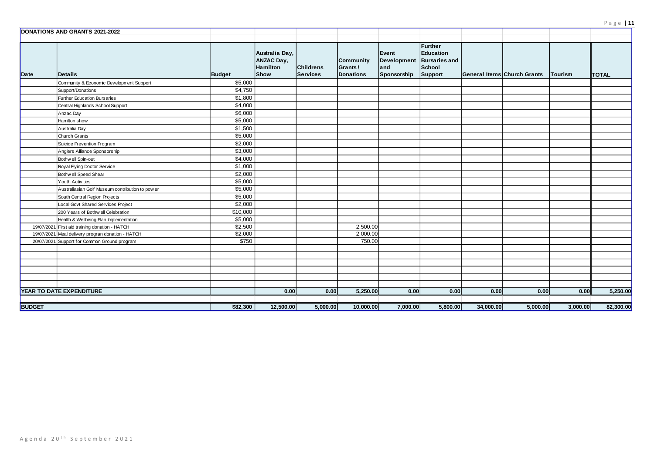|               | <b>DONATIONS AND GRANTS 2021-2022</b>             |               |                                                                |                                     |                                                  |                                                          |                                                  |           |                                    |          |              |
|---------------|---------------------------------------------------|---------------|----------------------------------------------------------------|-------------------------------------|--------------------------------------------------|----------------------------------------------------------|--------------------------------------------------|-----------|------------------------------------|----------|--------------|
| Date          | <b>IDetails</b>                                   | <b>Budget</b> | Australia Day,<br><b>ANZAC Day,</b><br>Hamilton<br><b>Show</b> | <b>Childrens</b><br><b>Services</b> | <b>Community</b><br>Grants \<br><b>Donations</b> | Event<br>Development Bursaries and<br>and<br>Sponsorship | Further<br>Education<br><b>School</b><br>Support |           | <b>General Items Church Grants</b> | Tourism  | <b>TOTAL</b> |
|               | Community & Economic Development Support          | \$5,000       |                                                                |                                     |                                                  |                                                          |                                                  |           |                                    |          |              |
|               | Support/Donations                                 | \$4,750       |                                                                |                                     |                                                  |                                                          |                                                  |           |                                    |          |              |
|               | Further Education Bursaries                       | \$1,800       |                                                                |                                     |                                                  |                                                          |                                                  |           |                                    |          |              |
|               | Central Highlands School Support                  | \$4,000       |                                                                |                                     |                                                  |                                                          |                                                  |           |                                    |          |              |
|               | Anzac Day                                         | \$6,000       |                                                                |                                     |                                                  |                                                          |                                                  |           |                                    |          |              |
|               | Hamilton show                                     | \$5,000       |                                                                |                                     |                                                  |                                                          |                                                  |           |                                    |          |              |
|               | Australia Day                                     | \$1,500       |                                                                |                                     |                                                  |                                                          |                                                  |           |                                    |          |              |
|               | <b>Church Grants</b>                              | \$5,000       |                                                                |                                     |                                                  |                                                          |                                                  |           |                                    |          |              |
|               | Suicide Prevention Program                        | \$2,000       |                                                                |                                     |                                                  |                                                          |                                                  |           |                                    |          |              |
|               | Anglers Alliance Sponsorship                      | \$3,000       |                                                                |                                     |                                                  |                                                          |                                                  |           |                                    |          |              |
|               | Bothw ell Spin-out                                | \$4,000       |                                                                |                                     |                                                  |                                                          |                                                  |           |                                    |          |              |
|               | Royal Flying Doctor Service                       | \$1,000       |                                                                |                                     |                                                  |                                                          |                                                  |           |                                    |          |              |
|               | Bothw ell Speed Shear                             | \$2,000       |                                                                |                                     |                                                  |                                                          |                                                  |           |                                    |          |              |
|               | <b>Youth Activities</b>                           | \$5,000       |                                                                |                                     |                                                  |                                                          |                                                  |           |                                    |          |              |
|               | Australiasian Golf Museum contribution to pow er  | \$5,000       |                                                                |                                     |                                                  |                                                          |                                                  |           |                                    |          |              |
|               | South Central Region Projects                     | \$5,000       |                                                                |                                     |                                                  |                                                          |                                                  |           |                                    |          |              |
|               | Local Govt Shared Services Project                | \$2,000       |                                                                |                                     |                                                  |                                                          |                                                  |           |                                    |          |              |
|               | 200 Years of Bothw ell Celebration                | \$10,000      |                                                                |                                     |                                                  |                                                          |                                                  |           |                                    |          |              |
|               | Health & Wellbeing Plan Implementation            | \$5,000       |                                                                |                                     |                                                  |                                                          |                                                  |           |                                    |          |              |
|               | 19/07/2021 First aid training donation - HATCH    | \$2,500       |                                                                |                                     | 2,500.00                                         |                                                          |                                                  |           |                                    |          |              |
|               | 19/07/2021 Meal delivery progran donation - HATCH | \$2,000       |                                                                |                                     | 2,000.00                                         |                                                          |                                                  |           |                                    |          |              |
|               | 20/07/2021 Support for Common Ground program      | \$750         |                                                                |                                     | 750.00                                           |                                                          |                                                  |           |                                    |          |              |
|               |                                                   |               |                                                                |                                     |                                                  |                                                          |                                                  |           |                                    |          |              |
|               |                                                   |               |                                                                |                                     |                                                  |                                                          |                                                  |           |                                    |          |              |
|               |                                                   |               |                                                                |                                     |                                                  |                                                          |                                                  |           |                                    |          |              |
|               |                                                   |               |                                                                |                                     |                                                  |                                                          |                                                  |           |                                    |          |              |
|               |                                                   |               |                                                                |                                     |                                                  |                                                          |                                                  |           |                                    |          |              |
|               |                                                   |               |                                                                |                                     |                                                  |                                                          |                                                  |           |                                    |          |              |
|               | <b>YEAR TO DATE EXPENDITURE</b>                   |               | 0.00                                                           | 0.00                                | 5,250.00                                         | 0.00                                                     | 0.00                                             | 0.00      | 0.00                               | 0.00     | 5,250.00     |
| <b>BUDGET</b> |                                                   | \$82,300      | 12,500.00                                                      | 5,000.00                            | 10,000.00                                        | 7,000.00                                                 | 5,800.00                                         | 34,000.00 | 5,000.00                           | 3,000.00 | 82,300.00    |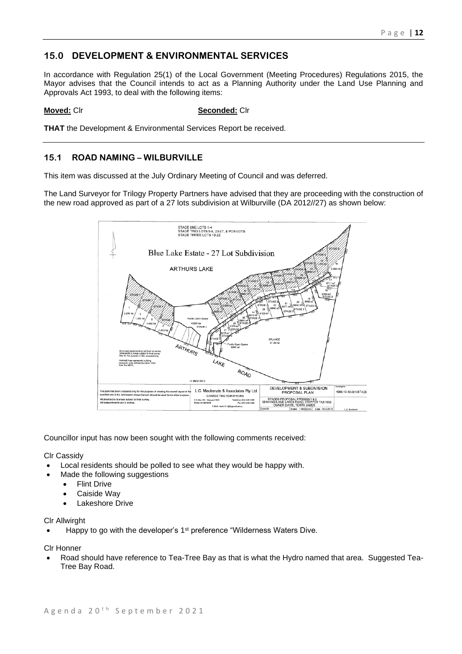# **15.0 DEVELOPMENT & ENVIRONMENTAL SERVICES**

In accordance with Regulation 25(1) of the Local Government (Meeting Procedures) Regulations 2015, the Mayor advises that the Council intends to act as a Planning Authority under the Land Use Planning and Approvals Act 1993, to deal with the following items:

## **Moved:** Clr **Seconded:** Clr

**THAT** the Development & Environmental Services Report be received.

## **15.1 ROAD NAMING – WILBURVILLE**

This item was discussed at the July Ordinary Meeting of Council and was deferred.

The Land Surveyor for Trilogy Property Partners have advised that they are proceeding with the construction of the new road approved as part of a 27 lots subdivision at Wilburville (DA 2012//27) as shown below:



Councillor input has now been sought with the following comments received:

Clr Cassidy

- Local residents should be polled to see what they would be happy with.
	- Made the following suggestions
		- Flint Drive
		- Caiside Wav
		- Lakeshore Drive

### Clr Allwirght

• Happy to go with the developer's 1<sup>st</sup> preference "Wilderness Waters Dive.

Clr Honner

• Road should have reference to Tea-Tree Bay as that is what the Hydro named that area. Suggested Tea-Tree Bay Road.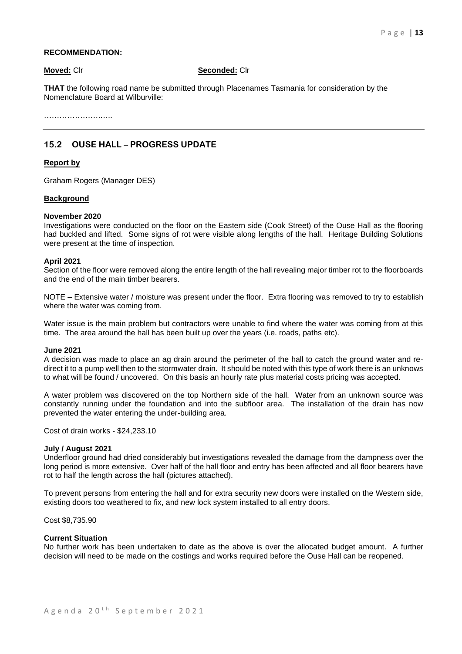### **RECOMMENDATION:**

**Moved:** Clr **Seconded:** Clr

**THAT** the following road name be submitted through Placenames Tasmania for consideration by the Nomenclature Board at Wilburville:

………………….…..

## **15.2 OUSE HALL – PROGRESS UPDATE**

### **Report by**

Graham Rogers (Manager DES)

### **Background**

### **November 2020**

Investigations were conducted on the floor on the Eastern side (Cook Street) of the Ouse Hall as the flooring had buckled and lifted. Some signs of rot were visible along lengths of the hall. Heritage Building Solutions were present at the time of inspection.

### **April 2021**

Section of the floor were removed along the entire length of the hall revealing major timber rot to the floorboards and the end of the main timber bearers.

NOTE – Extensive water / moisture was present under the floor. Extra flooring was removed to try to establish where the water was coming from.

Water issue is the main problem but contractors were unable to find where the water was coming from at this time. The area around the hall has been built up over the years (i.e. roads, paths etc).

### **June 2021**

A decision was made to place an ag drain around the perimeter of the hall to catch the ground water and redirect it to a pump well then to the stormwater drain. It should be noted with this type of work there is an unknows to what will be found / uncovered. On this basis an hourly rate plus material costs pricing was accepted.

A water problem was discovered on the top Northern side of the hall. Water from an unknown source was constantly running under the foundation and into the subfloor area. The installation of the drain has now prevented the water entering the under-building area.

Cost of drain works - \$24,233.10

### **July / August 2021**

Underfloor ground had dried considerably but investigations revealed the damage from the dampness over the long period is more extensive. Over half of the hall floor and entry has been affected and all floor bearers have rot to half the length across the hall (pictures attached).

To prevent persons from entering the hall and for extra security new doors were installed on the Western side, existing doors too weathered to fix, and new lock system installed to all entry doors.

Cost \$8,735.90

### **Current Situation**

No further work has been undertaken to date as the above is over the allocated budget amount. A further decision will need to be made on the costings and works required before the Ouse Hall can be reopened.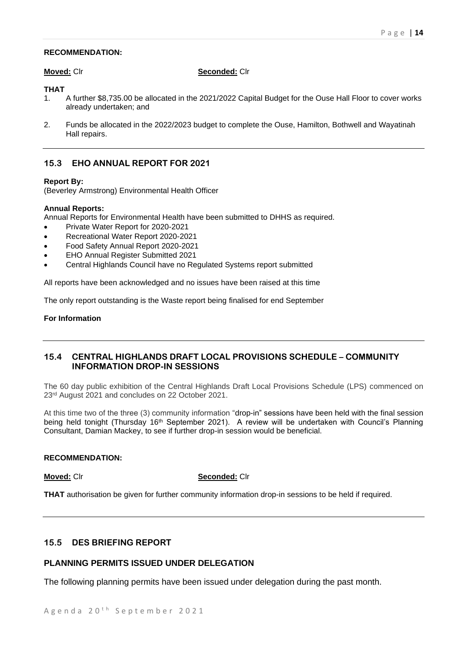## **RECOMMENDATION:**

### **Moved:** Clr **Seconded:** Clr

## **THAT**

- 1. A further \$8,735.00 be allocated in the 2021/2022 Capital Budget for the Ouse Hall Floor to cover works already undertaken; and
- 2. Funds be allocated in the 2022/2023 budget to complete the Ouse, Hamilton, Bothwell and Wayatinah Hall repairs.

## **15.3 EHO ANNUAL REPORT FOR 2021**

### **Report By:**

(Beverley Armstrong) Environmental Health Officer

### **Annual Reports:**

Annual Reports for Environmental Health have been submitted to DHHS as required.

- Private Water Report for 2020-2021
- Recreational Water Report 2020-2021
- Food Safety Annual Report 2020-2021
- EHO Annual Register Submitted 2021
- Central Highlands Council have no Regulated Systems report submitted

All reports have been acknowledged and no issues have been raised at this time

The only report outstanding is the Waste report being finalised for end September

## **For Information**

## **15.4 CENTRAL HIGHLANDS DRAFT LOCAL PROVISIONS SCHEDULE – COMMUNITY INFORMATION DROP-IN SESSIONS**

The 60 day public exhibition of the Central Highlands Draft Local Provisions Schedule (LPS) commenced on 23rd August 2021 and concludes on 22 October 2021.

At this time two of the three (3) community information "drop-in" sessions have been held with the final session being held tonight (Thursday 16<sup>th</sup> September 2021). A review will be undertaken with Council's Planning Consultant, Damian Mackey, to see if further drop-in session would be beneficial.

### **RECOMMENDATION:**

### **Moved:** Clr **Seconded:** Clr

**THAT** authorisation be given for further community information drop-in sessions to be held if required.

## **15.5 DES BRIEFING REPORT**

## **PLANNING PERMITS ISSUED UNDER DELEGATION**

The following planning permits have been issued under delegation during the past month.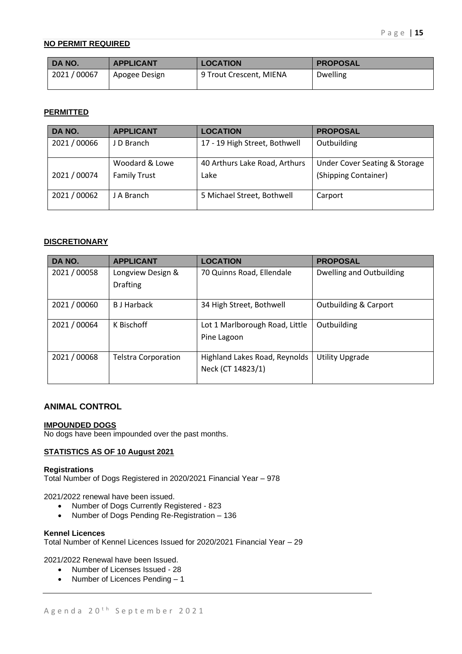## **NO PERMIT REQUIRED**

| DA NO.     | <b>APPLICANT</b> | <b>LOCATION</b>         | <b>PROPOSAL</b> |
|------------|------------------|-------------------------|-----------------|
| 2021/00067 | Apogee Design    | 9 Trout Crescent, MIENA | <b>Dwelling</b> |

## **PERMITTED**

| DA NO.       | <b>APPLICANT</b>                      | <b>LOCATION</b>                       | <b>PROPOSAL</b>                                                  |
|--------------|---------------------------------------|---------------------------------------|------------------------------------------------------------------|
| 2021 / 00066 | J D Branch                            | 17 - 19 High Street, Bothwell         | Outbuilding                                                      |
| 2021 / 00074 | Woodard & Lowe<br><b>Family Trust</b> | 40 Arthurs Lake Road, Arthurs<br>Lake | <b>Under Cover Seating &amp; Storage</b><br>(Shipping Container) |
| 2021 / 00062 | J A Branch                            | 5 Michael Street, Bothwell            | Carport                                                          |

## **DISCRETIONARY**

| DA NO.       | <b>APPLICANT</b>           | <b>LOCATION</b>                | <b>PROPOSAL</b>                  |
|--------------|----------------------------|--------------------------------|----------------------------------|
| 2021 / 00058 | Longview Design &          | 70 Quinns Road, Ellendale      | Dwelling and Outbuilding         |
|              | <b>Drafting</b>            |                                |                                  |
| 2021 / 00060 | <b>B</b> J Harback         | 34 High Street, Bothwell       | <b>Outbuilding &amp; Carport</b> |
| 2021 / 00064 | K Bischoff                 | Lot 1 Marlborough Road, Little | Outbuilding                      |
|              |                            | Pine Lagoon                    |                                  |
| 2021 / 00068 | <b>Telstra Corporation</b> | Highland Lakes Road, Reynolds  | <b>Utility Upgrade</b>           |
|              |                            | Neck (CT 14823/1)              |                                  |
|              |                            |                                |                                  |

## **ANIMAL CONTROL**

## **IMPOUNDED DOGS**

No dogs have been impounded over the past months.

## **STATISTICS AS OF 10 August 2021**

## **Registrations**

Total Number of Dogs Registered in 2020/2021 Financial Year – 978

2021/2022 renewal have been issued.

- Number of Dogs Currently Registered 823
- Number of Dogs Pending Re-Registration 136

## **Kennel Licences**

Total Number of Kennel Licences Issued for 2020/2021 Financial Year – 29

2021/2022 Renewal have been Issued.

- Number of Licenses Issued 28
- Number of Licences Pending 1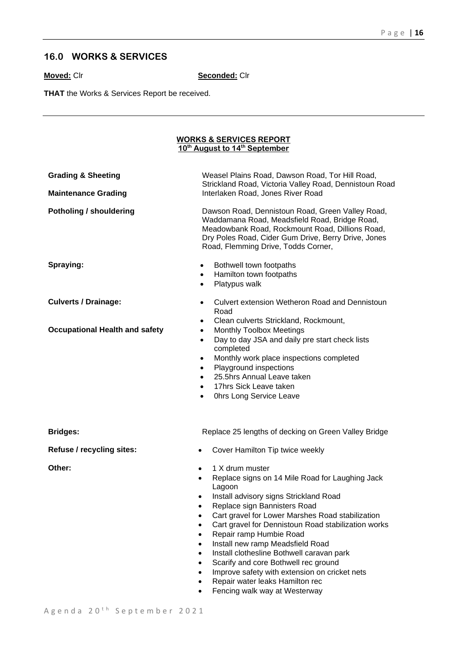# **16.0 WORKS & SERVICES**

**Moved:** Clr **Seconded:** Clr

**THAT** the Works & Services Report be received.

### **WORKS & SERVICES REPORT 10th August to 14th September**

| <b>Grading &amp; Sheeting</b><br><b>Maintenance Grading</b>          | Weasel Plains Road, Dawson Road, Tor Hill Road,<br>Strickland Road, Victoria Valley Road, Dennistoun Road<br>Interlaken Road, Jones River Road                                                                                                                                                                                                                                                                                                                                                                                                                                                                                                          |  |  |  |  |  |
|----------------------------------------------------------------------|---------------------------------------------------------------------------------------------------------------------------------------------------------------------------------------------------------------------------------------------------------------------------------------------------------------------------------------------------------------------------------------------------------------------------------------------------------------------------------------------------------------------------------------------------------------------------------------------------------------------------------------------------------|--|--|--|--|--|
| Potholing / shouldering                                              | Dawson Road, Dennistoun Road, Green Valley Road,<br>Waddamana Road, Meadsfield Road, Bridge Road,<br>Meadowbank Road, Rockmount Road, Dillions Road,<br>Dry Poles Road, Cider Gum Drive, Berry Drive, Jones<br>Road, Flemming Drive, Todds Corner,                                                                                                                                                                                                                                                                                                                                                                                                      |  |  |  |  |  |
| Spraying:                                                            | Bothwell town footpaths<br>$\bullet$<br>Hamilton town footpaths<br>$\bullet$<br>Platypus walk<br>$\bullet$                                                                                                                                                                                                                                                                                                                                                                                                                                                                                                                                              |  |  |  |  |  |
| <b>Culverts / Drainage:</b><br><b>Occupational Health and safety</b> | Culvert extension Wetheron Road and Dennistoun<br>$\bullet$<br>Road<br>Clean culverts Strickland, Rockmount,<br>٠<br><b>Monthly Toolbox Meetings</b><br>$\bullet$                                                                                                                                                                                                                                                                                                                                                                                                                                                                                       |  |  |  |  |  |
|                                                                      | Day to day JSA and daily pre start check lists<br>$\bullet$<br>completed<br>Monthly work place inspections completed<br>٠<br>Playground inspections<br>$\bullet$<br>25.5hrs Annual Leave taken<br>$\bullet$<br>17hrs Sick Leave taken<br>$\bullet$<br>Ohrs Long Service Leave<br>$\bullet$                                                                                                                                                                                                                                                                                                                                                              |  |  |  |  |  |
| <b>Bridges:</b>                                                      | Replace 25 lengths of decking on Green Valley Bridge                                                                                                                                                                                                                                                                                                                                                                                                                                                                                                                                                                                                    |  |  |  |  |  |
| Refuse / recycling sites:                                            | Cover Hamilton Tip twice weekly                                                                                                                                                                                                                                                                                                                                                                                                                                                                                                                                                                                                                         |  |  |  |  |  |
| Other:                                                               | 1 X drum muster<br>$\bullet$<br>Replace signs on 14 Mile Road for Laughing Jack<br>$\bullet$<br>Lagoon<br>Install advisory signs Strickland Road<br>$\bullet$<br>Replace sign Bannisters Road<br>٠<br>Cart gravel for Lower Marshes Road stabilization<br>Cart gravel for Dennistoun Road stabilization works<br>$\bullet$<br>Repair ramp Humbie Road<br>$\bullet$<br>Install new ramp Meadsfield Road<br>$\bullet$<br>Install clothesline Bothwell caravan park<br>$\bullet$<br>Scarify and core Bothwell rec ground<br>$\bullet$<br>Improve safety with extension on cricket nets<br>Repair water leaks Hamilton rec<br>Fencing walk way at Westerway |  |  |  |  |  |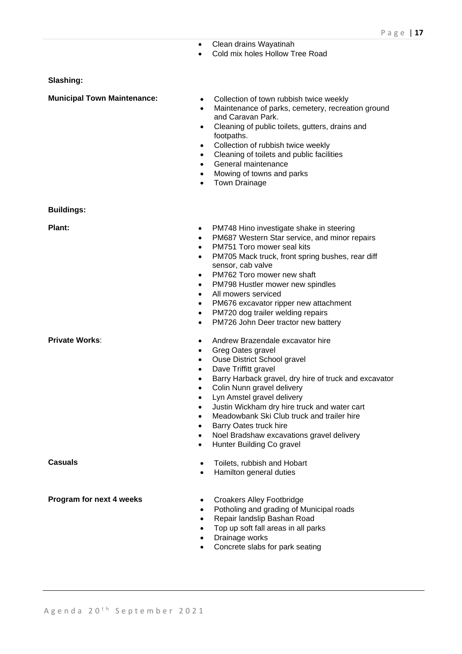- Clean drains Wayatinah
- Cold mix holes Hollow Tree Road

### **Slashing:**

- **Municipal Town Maintenance:** Collection of town rubbish twice weekly
	- Maintenance of parks, cemetery, recreation ground and Caravan Park.
	- Cleaning of public toilets, gutters, drains and footpaths.
	- Collection of rubbish twice weekly
	- Cleaning of toilets and public facilities
	- General maintenance
	- Mowing of towns and parks
	- Town Drainage

**Buildings:**

- **Plant: •** PM748 Hino investigate shake in steering
	- PM687 Western Star service, and minor repairs
	- PM751 Toro mower seal kits
	- PM705 Mack truck, front spring bushes, rear diff sensor, cab valve
	- PM762 Toro mower new shaft
	- PM798 Hustler mower new spindles
	- All mowers serviced
	- PM676 excavator ripper new attachment
	- PM720 dog trailer welding repairs
	- PM726 John Deer tractor new battery
- **Private Works: •** Andrew Brazendale excavator hire
	- Greg Oates gravel
	- Ouse District School gravel
	- Dave Triffitt gravel
	- Barry Harback gravel, dry hire of truck and excavator
	- Colin Nunn gravel delivery
	- Lyn Amstel gravel delivery
	- Justin Wickham dry hire truck and water cart
	- Meadowbank Ski Club truck and trailer hire
	- Barry Oates truck hire
	- Noel Bradshaw excavations gravel delivery
	- Hunter Building Co gravel
- **Casuals** Toilets, rubbish and Hobart
	- Hamilton general duties
- **Program for next 4 weeks** Croakers Alley Footbridge
	- Potholing and grading of Municipal roads
	- Repair landslip Bashan Road
	- Top up soft fall areas in all parks
	- Drainage works
	- Concrete slabs for park seating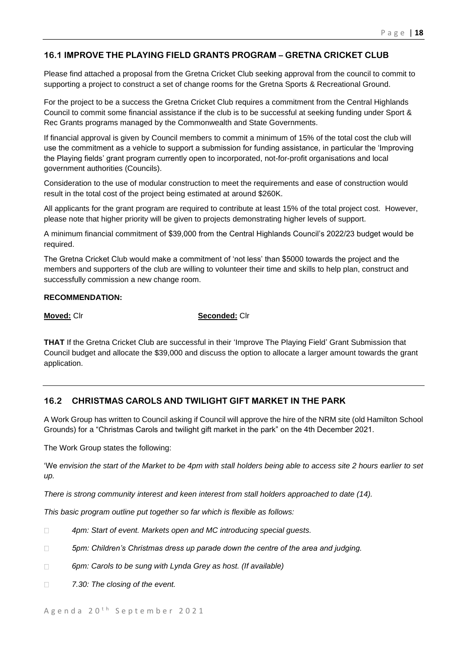## **16.1 IMPROVE THE PLAYING FIELD GRANTS PROGRAM – GRETNA CRICKET CLUB**

Please find attached a proposal from the Gretna Cricket Club seeking approval from the council to commit to supporting a project to construct a set of change rooms for the Gretna Sports & Recreational Ground.

For the project to be a success the Gretna Cricket Club requires a commitment from the Central Highlands Council to commit some financial assistance if the club is to be successful at seeking funding under Sport & Rec Grants programs managed by the Commonwealth and State Governments.

If financial approval is given by Council members to commit a minimum of 15% of the total cost the club will use the commitment as a vehicle to support a submission for funding assistance, in particular the 'Improving the Playing fields' grant program currently open to incorporated, not-for-profit organisations and local government authorities (Councils).

Consideration to the use of modular construction to meet the requirements and ease of construction would result in the total cost of the project being estimated at around \$260K.

All applicants for the grant program are required to contribute at least 15% of the total project cost. However, please note that higher priority will be given to projects demonstrating higher levels of support.

A minimum financial commitment of \$39,000 from the Central Highlands Council's 2022/23 budget would be required.

The Gretna Cricket Club would make a commitment of 'not less' than \$5000 towards the project and the members and supporters of the club are willing to volunteer their time and skills to help plan, construct and successfully commission a new change room.

## **RECOMMENDATION:**

**Moved:** Clr **Seconded:** Clr

**THAT** If the Gretna Cricket Club are successful in their 'Improve The Playing Field' Grant Submission that Council budget and allocate the \$39,000 and discuss the option to allocate a larger amount towards the grant application.

## **16.2 CHRISTMAS CAROLS AND TWILIGHT GIFT MARKET IN THE PARK**

A Work Group has written to Council asking if Council will approve the hire of the NRM site (old Hamilton School Grounds) for a "Christmas Carols and twilight gift market in the park" on the 4th December 2021.

The Work Group states the following:

'We *envision the start of the Market to be 4pm with stall holders being able to access site 2 hours earlier to set up.*

*There is strong community interest and keen interest from stall holders approached to date (14).* 

*This basic program outline put together so far which is flexible as follows:*

- $\Box$ *4pm: Start of event. Markets open and MC introducing special guests.*
- $\Box$ *5pm: Children's Christmas dress up parade down the centre of the area and judging.*
- $\Box$ *6pm: Carols to be sung with Lynda Grey as host. (If available)*
- *7.30: The closing of the event.* $\Box$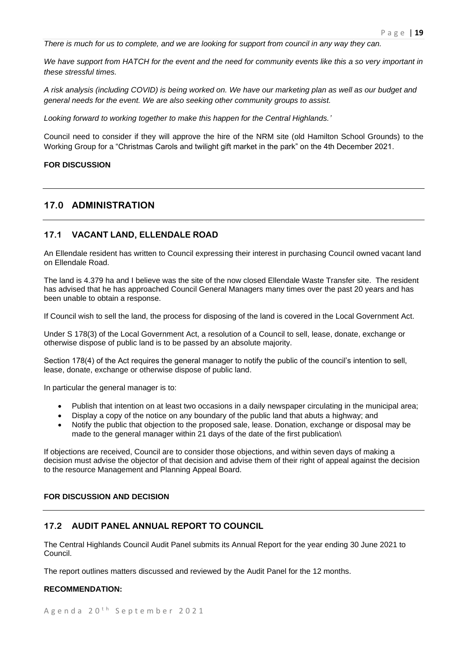*There is much for us to complete, and we are looking for support from council in any way they can.*

*We have support from HATCH for the event and the need for community events like this a so very important in these stressful times.*

*A risk analysis (including COVID) is being worked on. We have our marketing plan as well as our budget and general needs for the event. We are also seeking other community groups to assist.*

*Looking forward to working together to make this happen for the Central Highlands.'*

Council need to consider if they will approve the hire of the NRM site (old Hamilton School Grounds) to the Working Group for a "Christmas Carols and twilight gift market in the park" on the 4th December 2021.

### **FOR DISCUSSION**

## **17.0 ADMINISTRATION**

## **17.1 VACANT LAND, ELLENDALE ROAD**

An Ellendale resident has written to Council expressing their interest in purchasing Council owned vacant land on Ellendale Road.

The land is 4.379 ha and I believe was the site of the now closed Ellendale Waste Transfer site. The resident has advised that he has approached Council General Managers many times over the past 20 years and has been unable to obtain a response.

If Council wish to sell the land, the process for disposing of the land is covered in the Local Government Act.

Under S 178(3) of the Local Government Act, a resolution of a Council to sell, lease, donate, exchange or otherwise dispose of public land is to be passed by an absolute majority.

Section 178(4) of the Act requires the general manager to notify the public of the council's intention to sell, lease, donate, exchange or otherwise dispose of public land.

In particular the general manager is to:

- Publish that intention on at least two occasions in a daily newspaper circulating in the municipal area;
- Display a copy of the notice on any boundary of the public land that abuts a highway; and
- Notify the public that objection to the proposed sale, lease. Donation, exchange or disposal may be made to the general manager within 21 days of the date of the first publication\

If objections are received, Council are to consider those objections, and within seven days of making a decision must advise the objector of that decision and advise them of their right of appeal against the decision to the resource Management and Planning Appeal Board.

## **FOR DISCUSSION AND DECISION**

## **17.2 AUDIT PANEL ANNUAL REPORT TO COUNCIL**

The Central Highlands Council Audit Panel submits its Annual Report for the year ending 30 June 2021 to Council.

The report outlines matters discussed and reviewed by the Audit Panel for the 12 months.

### **RECOMMENDATION:**

A g e n d a 20<sup>th</sup> S e p t e m b e r 2021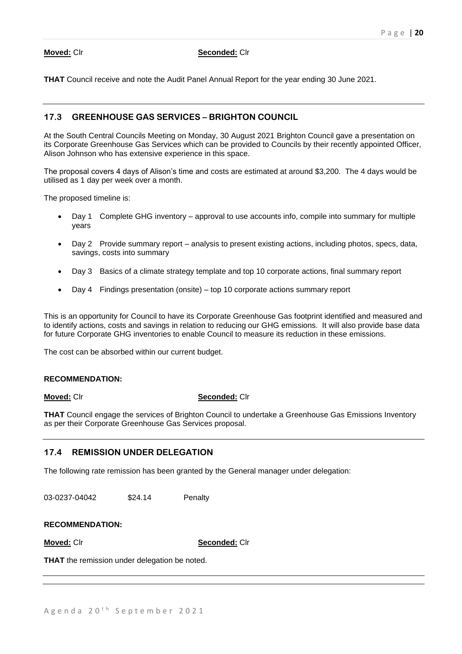### **Moved:** Clr **Seconded:** Clr

**THAT** Council receive and note the Audit Panel Annual Report for the year ending 30 June 2021.

## **17.3 GREENHOUSE GAS SERVICES – BRIGHTON COUNCIL**

At the South Central Councils Meeting on Monday, 30 August 2021 Brighton Council gave a presentation on its Corporate Greenhouse Gas Services which can be provided to Councils by their recently appointed Officer, Alison Johnson who has extensive experience in this space.

The proposal covers 4 days of Alison's time and costs are estimated at around \$3,200. The 4 days would be utilised as 1 day per week over a month.

The proposed timeline is:

- Day 1 Complete GHG inventory approval to use accounts info, compile into summary for multiple years
- Day 2 Provide summary report analysis to present existing actions, including photos, specs, data, savings, costs into summary
- Day 3 Basics of a climate strategy template and top 10 corporate actions, final summary report
- Day 4 Findings presentation (onsite) top 10 corporate actions summary report

This is an opportunity for Council to have its Corporate Greenhouse Gas footprint identified and measured and to identify actions, costs and savings in relation to reducing our GHG emissions. It will also provide base data for future Corporate GHG inventories to enable Council to measure its reduction in these emissions.

The cost can be absorbed within our current budget.

### **RECOMMENDATION:**

### **Moved:** Clr **Seconded:** Clr

**THAT** Council engage the services of Brighton Council to undertake a Greenhouse Gas Emissions Inventory as per their Corporate Greenhouse Gas Services proposal.

## **17.4 REMISSION UNDER DELEGATION**

The following rate remission has been granted by the General manager under delegation:

03-0237-04042 \$24.14 Penalty

**RECOMMENDATION:**

**Moved:** Clr **Seconded:** Clr

**THAT** the remission under delegation be noted.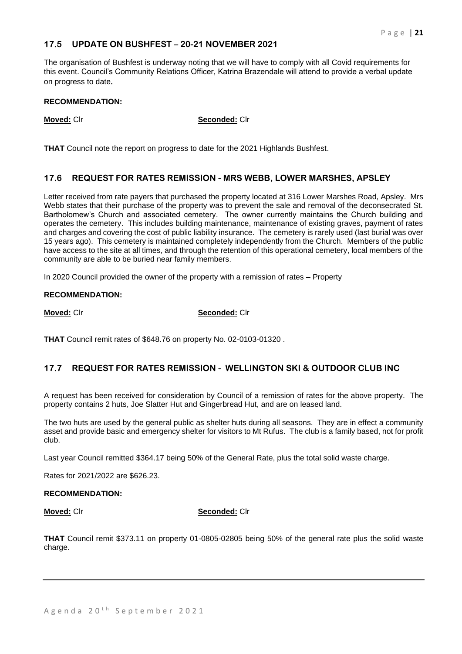## **17.5 UPDATE ON BUSHFEST – 20-21 NOVEMBER 2021**

The organisation of Bushfest is underway noting that we will have to comply with all Covid requirements for this event. Council's Community Relations Officer, Katrina Brazendale will attend to provide a verbal update on progress to date.

## **RECOMMENDATION:**

**Moved:** Clr **Seconded:** Clr

**THAT** Council note the report on progress to date for the 2021 Highlands Bushfest.

## **17.6 REQUEST FOR RATES REMISSION - MRS WEBB, LOWER MARSHES, APSLEY**

Letter received from rate payers that purchased the property located at 316 Lower Marshes Road, Apsley. Mrs Webb states that their purchase of the property was to prevent the sale and removal of the deconsecrated St. Bartholomew's Church and associated cemetery. The owner currently maintains the Church building and operates the cemetery. This includes building maintenance, maintenance of existing graves, payment of rates and charges and covering the cost of public liability insurance. The cemetery is rarely used (last burial was over 15 years ago). This cemetery is maintained completely independently from the Church. Members of the public have access to the site at all times, and through the retention of this operational cemetery, local members of the community are able to be buried near family members.

In 2020 Council provided the owner of the property with a remission of rates – Property

## **RECOMMENDATION:**

**Moved:** Clr **Seconded:** Clr

**THAT** Council remit rates of \$648.76 on property No. 02-0103-01320 .

## **17.7 REQUEST FOR RATES REMISSION - WELLINGTON SKI & OUTDOOR CLUB INC**

A request has been received for consideration by Council of a remission of rates for the above property. The property contains 2 huts, Joe Slatter Hut and Gingerbread Hut, and are on leased land.

The two huts are used by the general public as shelter huts during all seasons. They are in effect a community asset and provide basic and emergency shelter for visitors to Mt Rufus. The club is a family based, not for profit club.

Last year Council remitted \$364.17 being 50% of the General Rate, plus the total solid waste charge.

Rates for 2021/2022 are \$626.23.

### **RECOMMENDATION:**

### **Moved:** Clr **Seconded:** Clr

**THAT** Council remit \$373.11 on property 01-0805-02805 being 50% of the general rate plus the solid waste charge.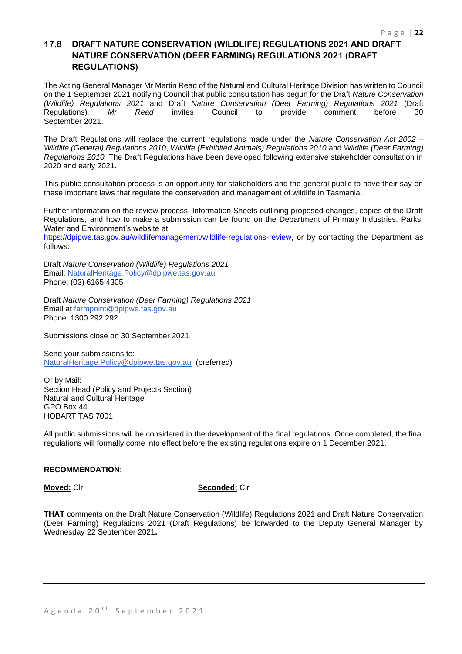## **17.8 DRAFT NATURE CONSERVATION (WILDLIFE) REGULATIONS 2021 AND DRAFT NATURE CONSERVATION (DEER FARMING) REGULATIONS 2021 (DRAFT REGULATIONS)**

The Acting General Manager Mr Martin Read of the Natural and Cultural Heritage Division has written to Council on the 1 September 2021 notifying Council that public consultation has begun for the Draft *Nature Conservation (Wildlife) Regulations 2021* and Draft *Nature Conservation (Deer Farming) Regulations 2021* (Draft Regulations)*. Mr Read* invites Council to provide comment before 30 September 2021.

The Draft Regulations will replace the current regulations made under the *Nature Conservation Act 2002* – *Wildlife (General) Regulations 2010*, *Wildlife (Exhibited Animals) Regulations 2010* and *Wildlife (Deer Farming) Regulations 2010.* The Draft Regulations have been developed following extensive stakeholder consultation in 2020 and early 2021.

This public consultation process is an opportunity for stakeholders and the general public to have their say on these important laws that regulate the conservation and management of wildlife in Tasmania.

Further information on the review process, Information Sheets outlining proposed changes, copies of the Draft Regulations, and how to make a submission can be found on the Department of Primary Industries, Parks, Water and Environment's website at

https://dpipwe.tas.gov.au/wildlifemanagement/wildlife-regulations-review, or by contacting the Department as follows:

Draft *Nature Conservation (Wildlife) Regulations 2021* Email: [NaturalHeritage.Policy@dpipwe.tas.gov.au](mailto:NaturalHeritage.Policy@dpipwe.tas.gov.au) Phone: (03) 6165 4305

Draft *Nature Conservation (Deer Farming) Regulations 2021* Email at [farmpoint@dpipwe.tas.gov.au](mailto:farmpoint@dpipwe.tas.gov.au) Phone: 1300 292 292

Submissions close on 30 September 2021

Send your submissions to: [NaturalHeritage.Policy@dpipwe.tas.gov.au](mailto:NaturalHeritage.Policy@dpipwe.tas.gov.au) (preferred)

Or by Mail: Section Head (Policy and Projects Section) Natural and Cultural Heritage GPO Box 44 HOBART TAS 7001

All public submissions will be considered in the development of the final regulations. Once completed, the final regulations will formally come into effect before the existing regulations expire on 1 December 2021.

## **RECOMMENDATION:**

**Moved:** Clr **Seconded:** Clr

**THAT** comments on the Draft Nature Conservation (Wildlife) Regulations 2021 and Draft Nature Conservation (Deer Farming) Regulations 2021 (Draft Regulations) be forwarded to the Deputy General Manager by Wednesday 22 September 2021**.**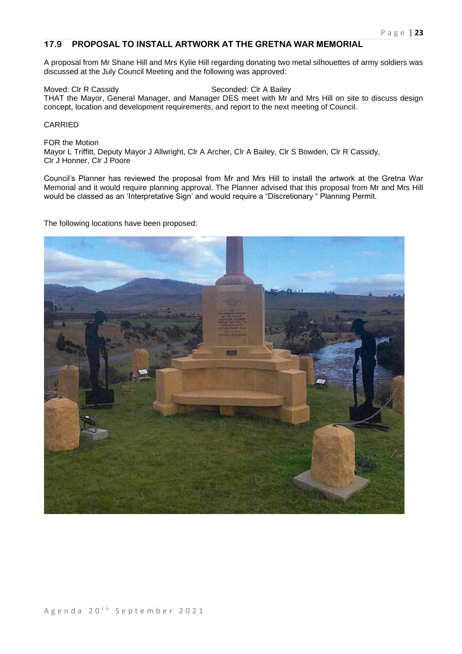## **17.9 PROPOSAL TO INSTALL ARTWORK AT THE GRETNA WAR MEMORIAL**

A proposal from Mr Shane Hill and Mrs Kylie Hill regarding donating two metal silhouettes of army soldiers was discussed at the July Council Meeting and the following was approved:

Moved: Clr R Cassidy Seconded: Clr A Bailey THAT the Mayor, General Manager, and Manager DES meet with Mr and Mrs Hill on site to discuss design concept, location and development requirements, and report to the next meeting of Council.

## CARRIED

FOR the Motion Mayor L Triffitt, Deputy Mayor J Allwright, Clr A Archer, Clr A Bailey, Clr S Bowden, Clr R Cassidy, Clr J Honner, Clr J Poore

Council's Planner has reviewed the proposal from Mr and Mrs Hill to install the artwork at the Gretna War Memorial and it would require planning approval. The Planner advised that this proposal from Mr and Mrs Hill would be classed as an 'Interpretative Sign' and would require a "Discretionary " Planning Permit.

The following locations have been proposed:

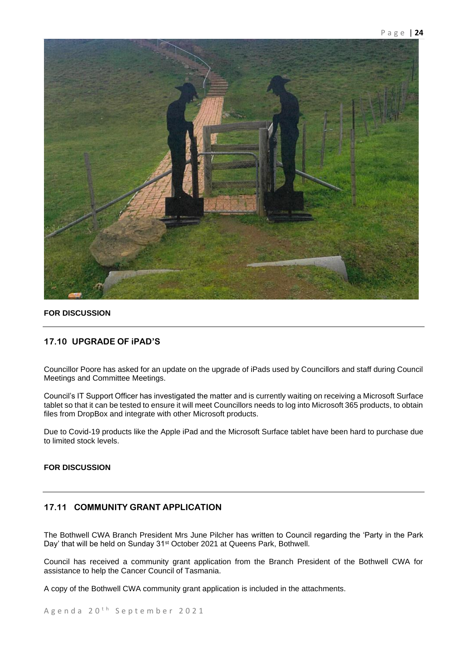

## **FOR DISCUSSION**

## **17.10 UPGRADE OF iPAD'S**

Councillor Poore has asked for an update on the upgrade of iPads used by Councillors and staff during Council Meetings and Committee Meetings.

Council's IT Support Officer has investigated the matter and is currently waiting on receiving a Microsoft Surface tablet so that it can be tested to ensure it will meet Councillors needs to log into Microsoft 365 products, to obtain files from DropBox and integrate with other Microsoft products.

Due to Covid-19 products like the Apple iPad and the Microsoft Surface tablet have been hard to purchase due to limited stock levels.

## **FOR DISCUSSION**

## **17.11 COMMUNITY GRANT APPLICATION**

The Bothwell CWA Branch President Mrs June Pilcher has written to Council regarding the 'Party in the Park Day' that will be held on Sunday 31st October 2021 at Queens Park, Bothwell.

Council has received a community grant application from the Branch President of the Bothwell CWA for assistance to help the Cancer Council of Tasmania.

A copy of the Bothwell CWA community grant application is included in the attachments.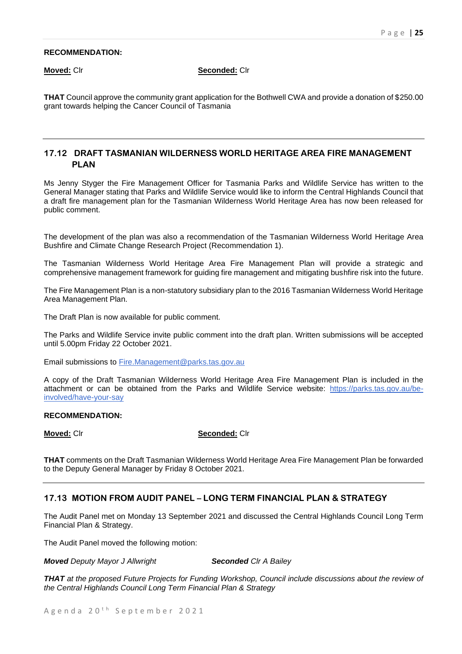### **RECOMMENDATION:**

**Moved:** Clr **Seconded:** Clr

**THAT** Council approve the community grant application for the Bothwell CWA and provide a donation of \$250.00 grant towards helping the Cancer Council of Tasmania

## **17.12 DRAFT TASMANIAN WILDERNESS WORLD HERITAGE AREA FIRE MANAGEMENT PLAN**

Ms Jenny Styger the Fire Management Officer for Tasmania Parks and Wildlife Service has written to the General Manager stating that Parks and Wildlife Service would like to inform the Central Highlands Council that a draft fire management plan for the Tasmanian Wilderness World Heritage Area has now been released for public comment.

The development of the plan was also a recommendation of the Tasmanian Wilderness World Heritage Area Bushfire and Climate Change Research Project (Recommendation 1).

The Tasmanian Wilderness World Heritage Area Fire Management Plan will provide a strategic and comprehensive management framework for guiding fire management and mitigating bushfire risk into the future.

The Fire Management Plan is a non-statutory subsidiary plan to the 2016 Tasmanian Wilderness World Heritage Area Management Plan.

The Draft Plan is now available for public comment.

The Parks and Wildlife Service invite public comment into the draft plan. Written submissions will be accepted until 5.00pm Friday 22 October 2021.

Email submissions to [Fire.Management@parks.tas.gov.au](mailto:Fire.Management@parks.tas.gov.au)

A copy of the Draft Tasmanian Wilderness World Heritage Area Fire Management Plan is included in the attachment or can be obtained from the Parks and Wildlife Service website: [https://parks.tas.gov.au/be](https://parks.tas.gov.au/be-involved/have-your-say)[involved/have-your-say](https://parks.tas.gov.au/be-involved/have-your-say)

### **RECOMMENDATION:**

## **Moved:** Clr **Seconded:** Clr

**THAT** comments on the Draft Tasmanian Wilderness World Heritage Area Fire Management Plan be forwarded to the Deputy General Manager by Friday 8 October 2021.

## **17.13 MOTION FROM AUDIT PANEL – LONG TERM FINANCIAL PLAN & STRATEGY**

The Audit Panel met on Monday 13 September 2021 and discussed the Central Highlands Council Long Term Financial Plan & Strategy.

The Audit Panel moved the following motion:

*Moved Deputy Mayor J Allwright Seconded Clr A Bailey*

*THAT at the proposed Future Projects for Funding Workshop, Council include discussions about the review of the Central Highlands Council Long Term Financial Plan & Strategy*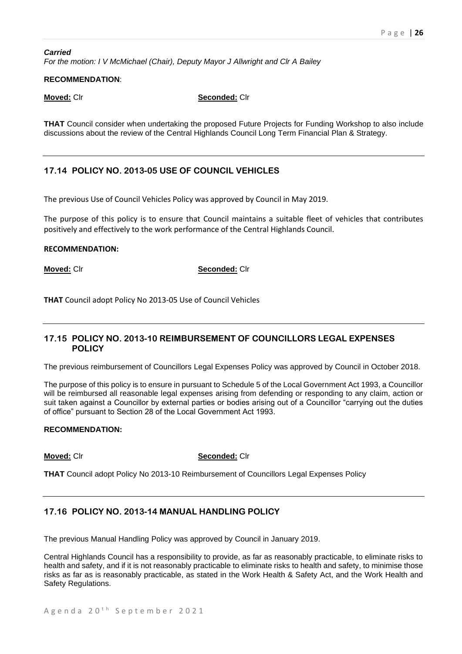### *Carried For the motion: I V McMichael (Chair), Deputy Mayor J Allwright and Clr A Bailey*

## **RECOMMENDATION**:

**Moved:** Clr **Seconded:** Clr

**THAT** Council consider when undertaking the proposed Future Projects for Funding Workshop to also include discussions about the review of the Central Highlands Council Long Term Financial Plan & Strategy.

## **17.14 POLICY NO. 2013-05 USE OF COUNCIL VEHICLES**

The previous Use of Council Vehicles Policy was approved by Council in May 2019.

The purpose of this policy is to ensure that Council maintains a suitable fleet of vehicles that contributes positively and effectively to the work performance of the Central Highlands Council.

## **RECOMMENDATION:**

**Moved:** Clr **Seconded:** Clr

**THAT** Council adopt Policy No 2013-05 Use of Council Vehicles

## **17.15 POLICY NO. 2013-10 REIMBURSEMENT OF COUNCILLORS LEGAL EXPENSES POLICY**

The previous reimbursement of Councillors Legal Expenses Policy was approved by Council in October 2018.

The purpose of this policy is to ensure in pursuant to Schedule 5 of the Local Government Act 1993, a Councillor will be reimbursed all reasonable legal expenses arising from defending or responding to any claim, action or suit taken against a Councillor by external parties or bodies arising out of a Councillor "carrying out the duties of office" pursuant to Section 28 of the Local Government Act 1993.

## **RECOMMENDATION:**

**Moved:** Clr **Seconded:** Clr

**THAT** Council adopt Policy No 2013-10 Reimbursement of Councillors Legal Expenses Policy

## **17.16 POLICY NO. 2013-14 MANUAL HANDLING POLICY**

The previous Manual Handling Policy was approved by Council in January 2019.

Central Highlands Council has a responsibility to provide, as far as reasonably practicable, to eliminate risks to health and safety, and if it is not reasonably practicable to eliminate risks to health and safety, to minimise those risks as far as is reasonably practicable, as stated in the Work Health & Safety Act, and the Work Health and Safety Regulations.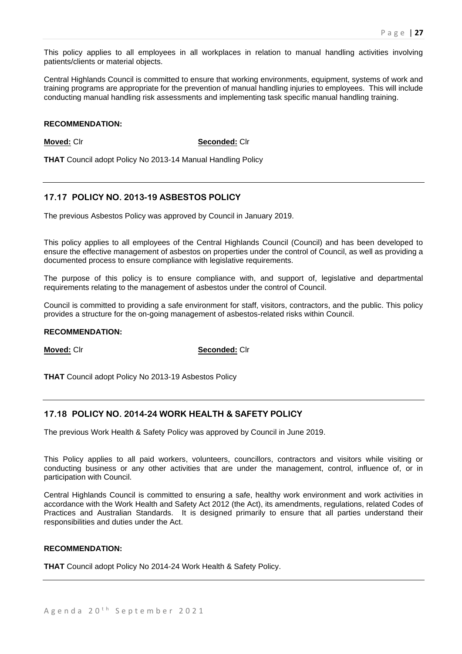This policy applies to all employees in all workplaces in relation to manual handling activities involving patients/clients or material objects.

Central Highlands Council is committed to ensure that working environments, equipment, systems of work and training programs are appropriate for the prevention of manual handling injuries to employees. This will include conducting manual handling risk assessments and implementing task specific manual handling training.

### **RECOMMENDATION:**

**Moved:** Clr **Seconded:** Clr

**THAT** Council adopt Policy No 2013-14 Manual Handling Policy

## **17.17 POLICY NO. 2013-19 ASBESTOS POLICY**

The previous Asbestos Policy was approved by Council in January 2019.

This policy applies to all employees of the Central Highlands Council (Council) and has been developed to ensure the effective management of asbestos on properties under the control of Council, as well as providing a documented process to ensure compliance with legislative requirements.

The purpose of this policy is to ensure compliance with, and support of, legislative and departmental requirements relating to the management of asbestos under the control of Council.

Council is committed to providing a safe environment for staff, visitors, contractors, and the public. This policy provides a structure for the on-going management of asbestos-related risks within Council.

### **RECOMMENDATION:**

**Moved:** Clr **Seconded:** Clr

**THAT** Council adopt Policy No 2013-19 Asbestos Policy

## **17.18 POLICY NO. 2014-24 WORK HEALTH & SAFETY POLICY**

The previous Work Health & Safety Policy was approved by Council in June 2019.

This Policy applies to all paid workers, volunteers, councillors, contractors and visitors while visiting or conducting business or any other activities that are under the management, control, influence of, or in participation with Council.

Central Highlands Council is committed to ensuring a safe, healthy work environment and work activities in accordance with the Work Health and Safety Act 2012 (the Act), its amendments, regulations, related Codes of Practices and Australian Standards. It is designed primarily to ensure that all parties understand their responsibilities and duties under the Act.

## **RECOMMENDATION:**

**THAT** Council adopt Policy No 2014-24 Work Health & Safety Policy.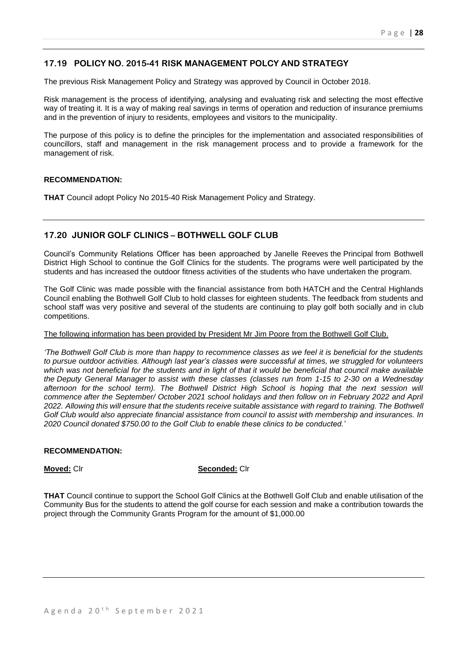## **17.19 POLICY NO. 2015-41 RISK MANAGEMENT POLCY AND STRATEGY**

The previous Risk Management Policy and Strategy was approved by Council in October 2018.

Risk management is the process of identifying, analysing and evaluating risk and selecting the most effective way of treating it. It is a way of making real savings in terms of operation and reduction of insurance premiums and in the prevention of injury to residents, employees and visitors to the municipality.

The purpose of this policy is to define the principles for the implementation and associated responsibilities of councillors, staff and management in the risk management process and to provide a framework for the management of risk.

### **RECOMMENDATION:**

**THAT** Council adopt Policy No 2015-40 Risk Management Policy and Strategy.

## **17.20 JUNIOR GOLF CLINICS – BOTHWELL GOLF CLUB**

Council's Community Relations Officer has been approached by Janelle Reeves the Principal from Bothwell District High School to continue the Golf Clinics for the students. The programs were well participated by the students and has increased the outdoor fitness activities of the students who have undertaken the program.

The Golf Clinic was made possible with the financial assistance from both HATCH and the Central Highlands Council enabling the Bothwell Golf Club to hold classes for eighteen students. The feedback from students and school staff was very positive and several of the students are continuing to play golf both socially and in club competitions.

### The following information has been provided by President Mr Jim Poore from the Bothwell Golf Club.

*'The Bothwell Golf Club is more than happy to recommence classes as we feel it is beneficial for the students to pursue outdoor activities. Although last year's classes were successful at times, we struggled for volunteers which was not beneficial for the students and in light of that it would be beneficial that council make available the Deputy General Manager to assist with these classes (classes run from 1-15 to 2-30 on a Wednesday afternoon for the school term). The Bothwell District High School is hoping that the next session will commence after the September/ October 2021 school holidays and then follow on in February 2022 and April 2022. Allowing this will ensure that the students receive suitable assistance with regard to training. The Bothwell Golf Club would also appreciate financial assistance from council to assist with membership and insurances. In 2020 Council donated \$750.00 to the Golf Club to enable these clinics to be conducted.'*

### **RECOMMENDATION:**

### **Moved:** Clr **Seconded:** Clr

**THAT** Council continue to support the School Golf Clinics at the Bothwell Golf Club and enable utilisation of the Community Bus for the students to attend the golf course for each session and make a contribution towards the project through the Community Grants Program for the amount of \$1,000.00